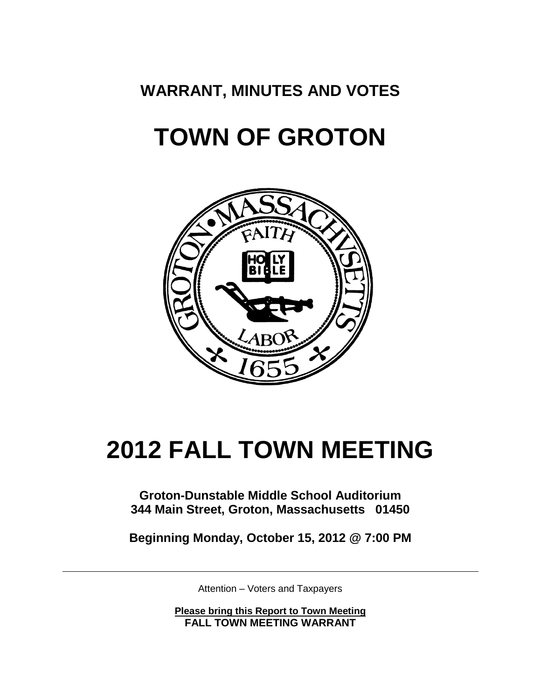# **WARRANT, MINUTES AND VOTES**

# **TOWN OF GROTON**



# **2012 FALL TOWN MEETING**

# **Groton-Dunstable Middle School Auditorium 344 Main Street, Groton, Massachusetts 01450**

**Beginning Monday, October 15, 2012 @ 7:00 PM**

Attention – Voters and Taxpayers

**Please bring this Report to Town Meeting FALL TOWN MEETING WARRANT**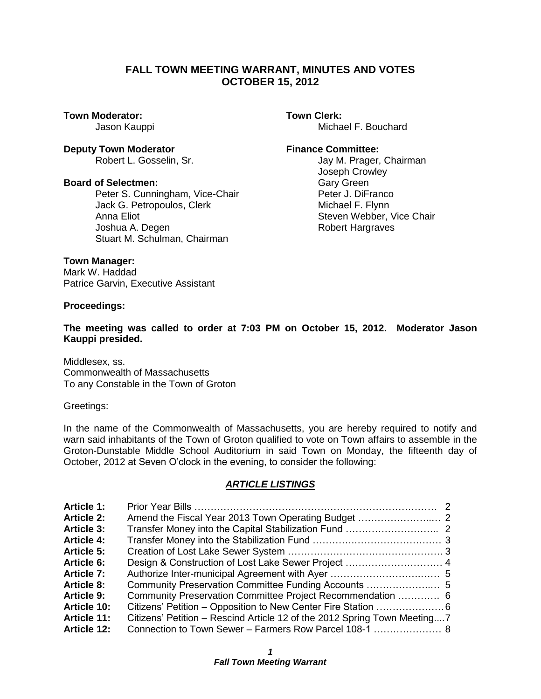# **FALL TOWN MEETING WARRANT, MINUTES AND VOTES OCTOBER 15, 2012**

**Town Moderator:** Town Clerk:

**Deputy Town Moderator <b>Finance Committee:** 

# **Board of Selectmen:** Gary Green

Peter S. Cunningham, Vice-Chair **Peter J. DiFranco**<br>Jack G. Petropoulos. Clerk **Property** Pulchael F. Flynn Jack G. Petropoulos, Clerk Anna Eliot **Steven Webber, Vice Chair** Joshua A. Degen Robert Hargraves Stuart M. Schulman, Chairman

Jason Kauppi **Michael F. Bouchard** 

Robert L. Gosselin, Sr. **In the Community Community** Jay M. Prager, Chairman Joseph Crowley

# **Town Manager:**

Mark W. Haddad Patrice Garvin, Executive Assistant

**Proceedings:**

**The meeting was called to order at 7:03 PM on October 15, 2012. Moderator Jason Kauppi presided.**

Middlesex, ss. Commonwealth of Massachusetts To any Constable in the Town of Groton

Greetings:

In the name of the Commonwealth of Massachusetts, you are hereby required to notify and warn said inhabitants of the Town of Groton qualified to vote on Town affairs to assemble in the Groton-Dunstable Middle School Auditorium in said Town on Monday, the fifteenth day of October, 2012 at Seven O'clock in the evening, to consider the following:

# *ARTICLE LISTINGS*

| <b>Article 1:</b>  |                                                                          |  |
|--------------------|--------------------------------------------------------------------------|--|
| <b>Article 2:</b>  |                                                                          |  |
| <b>Article 3:</b>  |                                                                          |  |
| <b>Article 4:</b>  |                                                                          |  |
| <b>Article 5:</b>  |                                                                          |  |
| <b>Article 6:</b>  |                                                                          |  |
| <b>Article 7:</b>  |                                                                          |  |
| <b>Article 8:</b>  |                                                                          |  |
| <b>Article 9:</b>  | Community Preservation Committee Project Recommendation  6               |  |
| <b>Article 10:</b> |                                                                          |  |
| <b>Article 11:</b> | Citizens' Petition - Rescind Article 12 of the 2012 Spring Town Meeting7 |  |
| <b>Article 12:</b> |                                                                          |  |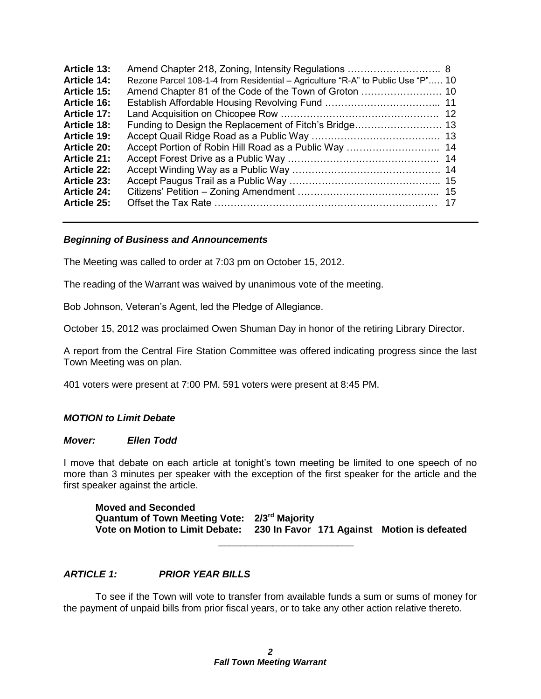| <b>Article 13:</b> |                                                                                 |     |
|--------------------|---------------------------------------------------------------------------------|-----|
| <b>Article 14:</b> | Rezone Parcel 108-1-4 from Residential – Agriculture "R-A" to Public Use "P" 10 |     |
| Article 15:        |                                                                                 |     |
| <b>Article 16:</b> |                                                                                 |     |
| <b>Article 17:</b> |                                                                                 |     |
| <b>Article 18:</b> |                                                                                 |     |
| <b>Article 19:</b> |                                                                                 |     |
| <b>Article 20:</b> |                                                                                 |     |
| Article 21:        |                                                                                 |     |
| <b>Article 22:</b> |                                                                                 |     |
| <b>Article 23:</b> |                                                                                 |     |
| <b>Article 24:</b> |                                                                                 |     |
| <b>Article 25:</b> |                                                                                 | -17 |

# *Beginning of Business and Announcements*

The Meeting was called to order at 7:03 pm on October 15, 2012.

The reading of the Warrant was waived by unanimous vote of the meeting.

Bob Johnson, Veteran's Agent, led the Pledge of Allegiance.

October 15, 2012 was proclaimed Owen Shuman Day in honor of the retiring Library Director.

A report from the Central Fire Station Committee was offered indicating progress since the last Town Meeting was on plan.

401 voters were present at 7:00 PM. 591 voters were present at 8:45 PM.

# *MOTION to Limit Debate*

# *Mover: Ellen Todd*

I move that debate on each article at tonight's town meeting be limited to one speech of no more than 3 minutes per speaker with the exception of the first speaker for the article and the first speaker against the article.

**Moved and Seconded Quantum of Town Meeting Vote: 2/3rd Majority Vote on Motion to Limit Debate: 230 In Favor 171 Against Motion is defeated** \_\_\_\_\_\_\_\_\_\_\_\_\_\_\_\_\_\_\_\_\_\_\_\_\_

# *ARTICLE 1: PRIOR YEAR BILLS*

To see if the Town will vote to transfer from available funds a sum or sums of money for the payment of unpaid bills from prior fiscal years, or to take any other action relative thereto.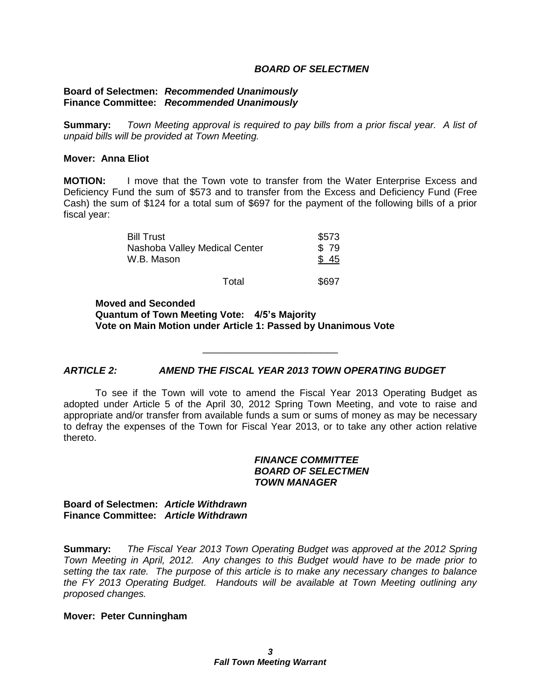# *BOARD OF SELECTMEN*

# **Board of Selectmen:** *Recommended Unanimously* **Finance Committee:** *Recommended Unanimously*

**Summary:** *Town Meeting approval is required to pay bills from a prior fiscal year. A list of unpaid bills will be provided at Town Meeting.*

### **Mover: Anna Eliot**

**MOTION:** I move that the Town vote to transfer from the Water Enterprise Excess and Deficiency Fund the sum of \$573 and to transfer from the Excess and Deficiency Fund (Free Cash) the sum of \$124 for a total sum of \$697 for the payment of the following bills of a prior fiscal year:

| <b>Bill Trust</b>             | \$573 |
|-------------------------------|-------|
| Nashoba Valley Medical Center | \$79  |
| W.B. Mason                    | \$45  |
|                               |       |

Total \$697

**Moved and Seconded Quantum of Town Meeting Vote: 4/5's Majority Vote on Main Motion under Article 1: Passed by Unanimous Vote**

# *ARTICLE 2: AMEND THE FISCAL YEAR 2013 TOWN OPERATING BUDGET*

To see if the Town will vote to amend the Fiscal Year 2013 Operating Budget as adopted under Article 5 of the April 30, 2012 Spring Town Meeting, and vote to raise and appropriate and/or transfer from available funds a sum or sums of money as may be necessary to defray the expenses of the Town for Fiscal Year 2013, or to take any other action relative thereto.

\_\_\_\_\_\_\_\_\_\_\_\_\_\_\_\_\_\_\_\_\_\_\_\_\_

# *FINANCE COMMITTEE BOARD OF SELECTMEN TOWN MANAGER*

# **Board of Selectmen:** *Article Withdrawn* **Finance Committee:** *Article Withdrawn*

**Summary:** *The Fiscal Year 2013 Town Operating Budget was approved at the 2012 Spring Town Meeting in April, 2012. Any changes to this Budget would have to be made prior to setting the tax rate. The purpose of this article is to make any necessary changes to balance the FY 2013 Operating Budget. Handouts will be available at Town Meeting outlining any proposed changes.*

# **Mover: Peter Cunningham**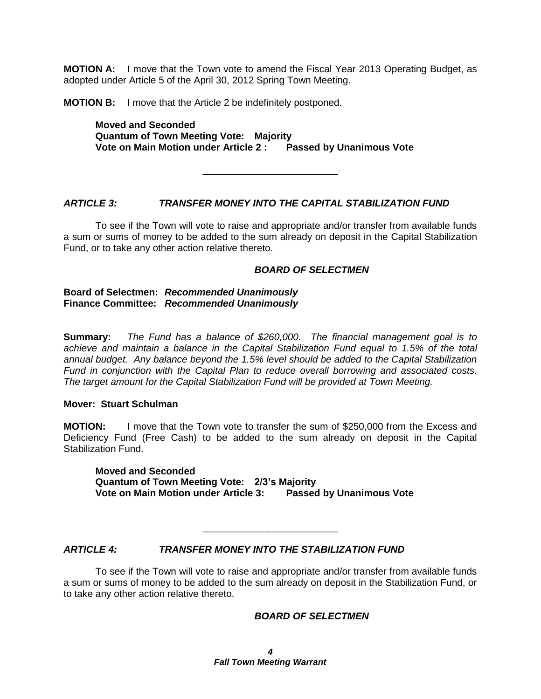**MOTION A:** I move that the Town vote to amend the Fiscal Year 2013 Operating Budget, as adopted under Article 5 of the April 30, 2012 Spring Town Meeting.

**MOTION B:** I move that the Article 2 be indefinitely postponed.

**Moved and Seconded Quantum of Town Meeting Vote: Majority Vote on Main Motion under Article 2 : Passed by Unanimous Vote** 

# *ARTICLE 3: TRANSFER MONEY INTO THE CAPITAL STABILIZATION FUND*

To see if the Town will vote to raise and appropriate and/or transfer from available funds a sum or sums of money to be added to the sum already on deposit in the Capital Stabilization Fund, or to take any other action relative thereto.

\_\_\_\_\_\_\_\_\_\_\_\_\_\_\_\_\_\_\_\_\_\_\_\_\_

# *BOARD OF SELECTMEN*

# **Board of Selectmen:** *Recommended Unanimously* **Finance Committee:** *Recommended Unanimously*

**Summary:** *The Fund has a balance of \$260,000. The financial management goal is to achieve and maintain a balance in the Capital Stabilization Fund equal to 1.5% of the total annual budget. Any balance beyond the 1.5% level should be added to the Capital Stabilization Fund in conjunction with the Capital Plan to reduce overall borrowing and associated costs. The target amount for the Capital Stabilization Fund will be provided at Town Meeting.*

# **Mover: Stuart Schulman**

**MOTION:** I move that the Town vote to transfer the sum of \$250,000 from the Excess and Deficiency Fund (Free Cash) to be added to the sum already on deposit in the Capital Stabilization Fund.

**Moved and Seconded Quantum of Town Meeting Vote: 2/3's Majority Vote on Main Motion under Article 3: Passed by Unanimous Vote**

# *ARTICLE 4: TRANSFER MONEY INTO THE STABILIZATION FUND*

To see if the Town will vote to raise and appropriate and/or transfer from available funds a sum or sums of money to be added to the sum already on deposit in the Stabilization Fund, or to take any other action relative thereto.

\_\_\_\_\_\_\_\_\_\_\_\_\_\_\_\_\_\_\_\_\_\_\_\_\_

# *BOARD OF SELECTMEN*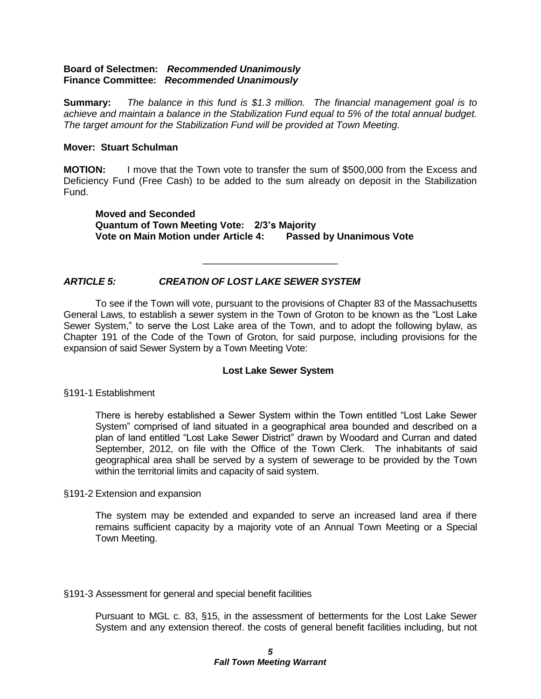# **Board of Selectmen:** *Recommended Unanimously* **Finance Committee:** *Recommended Unanimously*

**Summary:** *The balance in this fund is \$1.3 million. The financial management goal is to achieve and maintain a balance in the Stabilization Fund equal to 5% of the total annual budget. The target amount for the Stabilization Fund will be provided at Town Meeting.*

# **Mover: Stuart Schulman**

**MOTION:** I move that the Town vote to transfer the sum of \$500,000 from the Excess and Deficiency Fund (Free Cash) to be added to the sum already on deposit in the Stabilization Fund.

**Moved and Seconded Quantum of Town Meeting Vote: 2/3's Majority Vote on Main Motion under Article 4: Passed by Unanimous Vote**

# *ARTICLE 5: CREATION OF LOST LAKE SEWER SYSTEM*

To see if the Town will vote, pursuant to the provisions of Chapter 83 of the Massachusetts General Laws, to establish a sewer system in the Town of Groton to be known as the "Lost Lake Sewer System," to serve the Lost Lake area of the Town, and to adopt the following bylaw, as Chapter 191 of the Code of the Town of Groton, for said purpose, including provisions for the expansion of said Sewer System by a Town Meeting Vote:

\_\_\_\_\_\_\_\_\_\_\_\_\_\_\_\_\_\_\_\_\_\_\_\_\_

# **Lost Lake Sewer System**

§191-1 Establishment

There is hereby established a Sewer System within the Town entitled "Lost Lake Sewer System" comprised of land situated in a geographical area bounded and described on a plan of land entitled "Lost Lake Sewer District" drawn by Woodard and Curran and dated September, 2012, on file with the Office of the Town Clerk. The inhabitants of said geographical area shall be served by a system of sewerage to be provided by the Town within the territorial limits and capacity of said system.

#### §191-2 Extension and expansion

The system may be extended and expanded to serve an increased land area if there remains sufficient capacity by a majority vote of an Annual Town Meeting or a Special Town Meeting.

# §191-3 Assessment for general and special benefit facilities

Pursuant to MGL c. 83, §15, in the assessment of betterments for the Lost Lake Sewer System and any extension thereof. the costs of general benefit facilities including, but not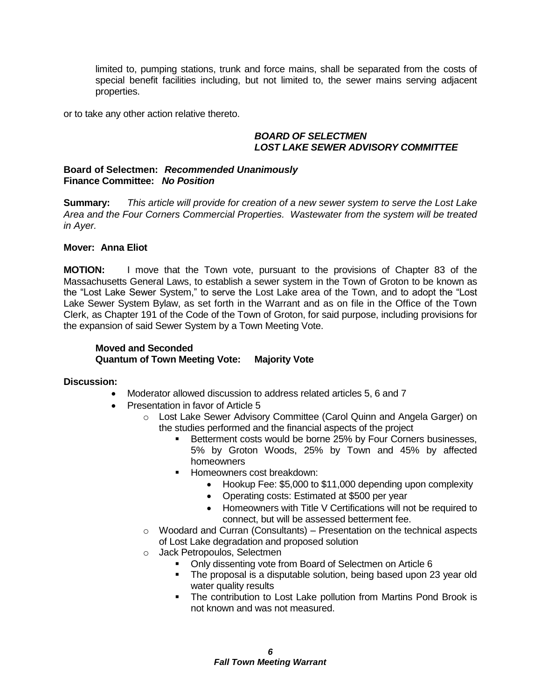limited to, pumping stations, trunk and force mains, shall be separated from the costs of special benefit facilities including, but not limited to, the sewer mains serving adjacent properties.

or to take any other action relative thereto.

# *BOARD OF SELECTMEN LOST LAKE SEWER ADVISORY COMMITTEE*

# **Board of Selectmen:** *Recommended Unanimously* **Finance Committee:** *No Position*

**Summary:** *This article will provide for creation of a new sewer system to serve the Lost Lake Area and the Four Corners Commercial Properties. Wastewater from the system will be treated in Ayer.*

# **Mover: Anna Eliot**

**MOTION:** I move that the Town vote, pursuant to the provisions of Chapter 83 of the Massachusetts General Laws, to establish a sewer system in the Town of Groton to be known as the "Lost Lake Sewer System," to serve the Lost Lake area of the Town, and to adopt the "Lost Lake Sewer System Bylaw, as set forth in the Warrant and as on file in the Office of the Town Clerk, as Chapter 191 of the Code of the Town of Groton, for said purpose, including provisions for the expansion of said Sewer System by a Town Meeting Vote.

# **Moved and Seconded Quantum of Town Meeting Vote: Majority Vote**

# **Discussion:**

- Moderator allowed discussion to address related articles 5, 6 and 7
- Presentation in favor of Article 5
	- o Lost Lake Sewer Advisory Committee (Carol Quinn and Angela Garger) on the studies performed and the financial aspects of the project
		- Betterment costs would be borne 25% by Four Corners businesses, 5% by Groton Woods, 25% by Town and 45% by affected homeowners
		- **Homeowners cost breakdown:** 
			- Hookup Fee: \$5,000 to \$11,000 depending upon complexity
			- Operating costs: Estimated at \$500 per year
			- Homeowners with Title V Certifications will not be required to connect, but will be assessed betterment fee.
	- $\circ$  Woodard and Curran (Consultants) Presentation on the technical aspects of Lost Lake degradation and proposed solution
	- o Jack Petropoulos, Selectmen
		- Only dissenting vote from Board of Selectmen on Article 6
		- The proposal is a disputable solution, being based upon 23 year old water quality results
		- The contribution to Lost Lake pollution from Martins Pond Brook is not known and was not measured.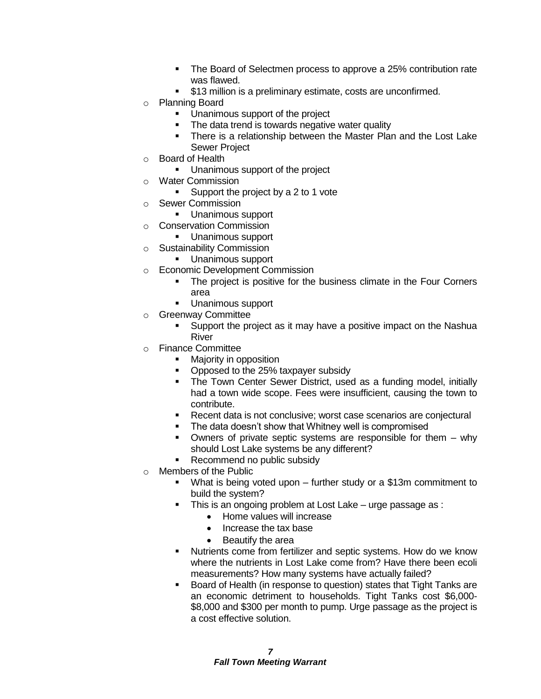- The Board of Selectmen process to approve a 25% contribution rate was flawed.
- **513 million is a preliminary estimate, costs are unconfirmed.**
- o Planning Board
	- **Unanimous support of the project**
	- The data trend is towards negative water quality
	- **There is a relationship between the Master Plan and the Lost Lake** Sewer Project
- o Board of Health
	- **Unanimous support of the project**
- o Water Commission
	- Support the project by a 2 to 1 vote
- o Sewer Commission
	- **Unanimous support**
- o Conservation Commission
	- **Unanimous support**
- o Sustainability Commission
	- **Unanimous support**
- o Economic Development Commission
	- The project is positive for the business climate in the Four Corners area
	- **Unanimous support**
- o Greenway Committee
	- Support the project as it may have a positive impact on the Nashua River
- o Finance Committee
	- **Najority in opposition**
	- Opposed to the 25% taxpayer subsidy
	- **The Town Center Sewer District, used as a funding model, initially** had a town wide scope. Fees were insufficient, causing the town to contribute.
	- Recent data is not conclusive; worst case scenarios are conjectural
	- The data doesn't show that Whitney well is compromised
	- Owners of private septic systems are responsible for them why should Lost Lake systems be any different?
	- Recommend no public subsidy
- o Members of the Public
	- What is being voted upon further study or a \$13m commitment to build the system?
	- This is an ongoing problem at Lost Lake urge passage as :
		- Home values will increase
		- Increase the tax base
		- Beautify the area
	- **Nutrients come from fertilizer and septic systems. How do we know** where the nutrients in Lost Lake come from? Have there been ecoli measurements? How many systems have actually failed?
	- Board of Health (in response to question) states that Tight Tanks are an economic detriment to households. Tight Tanks cost \$6,000- \$8,000 and \$300 per month to pump. Urge passage as the project is a cost effective solution.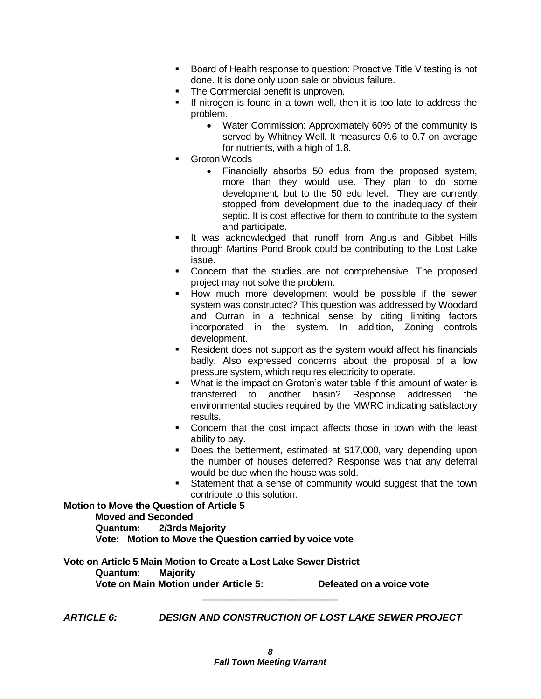- Board of Health response to question: Proactive Title V testing is not done. It is done only upon sale or obvious failure.
- **The Commercial benefit is unproven.**
- **If nitrogen is found in a town well, then it is too late to address the** problem.
	- Water Commission: Approximately 60% of the community is served by Whitney Well. It measures 0.6 to 0.7 on average for nutrients, with a high of 1.8.
- Groton Woods
	- Financially absorbs 50 edus from the proposed system, more than they would use. They plan to do some development, but to the 50 edu level. They are currently stopped from development due to the inadequacy of their septic. It is cost effective for them to contribute to the system and participate.
- **If was acknowledged that runoff from Angus and Gibbet Hills** through Martins Pond Brook could be contributing to the Lost Lake issue.
- **•** Concern that the studies are not comprehensive. The proposed project may not solve the problem.
- **How much more development would be possible if the sewer** system was constructed? This question was addressed by Woodard and Curran in a technical sense by citing limiting factors incorporated in the system. In addition, Zoning controls development.
- Resident does not support as the system would affect his financials badly. Also expressed concerns about the proposal of a low pressure system, which requires electricity to operate.
- What is the impact on Groton's water table if this amount of water is transferred to another basin? Response addressed the environmental studies required by the MWRC indicating satisfactory results.
- **•** Concern that the cost impact affects those in town with the least ability to pay.
- **Does the betterment, estimated at \$17,000, vary depending upon** the number of houses deferred? Response was that any deferral would be due when the house was sold.
- **Statement that a sense of community would suggest that the town** contribute to this solution.

**Motion to Move the Question of Article 5 Moved and Seconded**

**Quantum: 2/3rds Majority Vote: Motion to Move the Question carried by voice vote**

**Vote on Article 5 Main Motion to Create a Lost Lake Sewer District Quantum: Majority Vote on Main Motion under Article 5: Defeated on a voice vote**

\_\_\_\_\_\_\_\_\_\_\_\_\_\_\_\_\_\_\_\_\_\_\_\_\_

*ARTICLE 6: DESIGN AND CONSTRUCTION OF LOST LAKE SEWER PROJECT*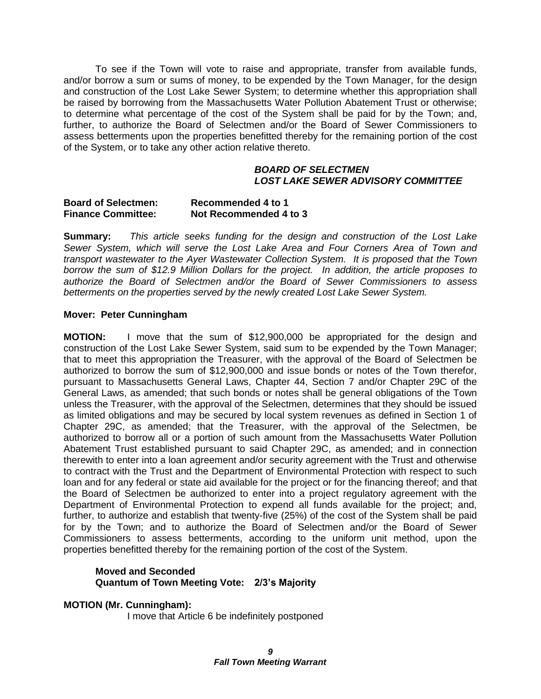To see if the Town will vote to raise and appropriate, transfer from available funds, and/or borrow a sum or sums of money, to be expended by the Town Manager, for the design and construction of the Lost Lake Sewer System; to determine whether this appropriation shall be raised by borrowing from the Massachusetts Water Pollution Abatement Trust or otherwise; to determine what percentage of the cost of the System shall be paid for by the Town; and, further, to authorize the Board of Selectmen and/or the Board of Sewer Commissioners to assess betterments upon the properties benefitted thereby for the remaining portion of the cost of the System, or to take any other action relative thereto.

# *BOARD OF SELECTMEN LOST LAKE SEWER ADVISORY COMMITTEE*

# **Board of Selectmen: Recommended 4 to 1 Finance Committee: Not Recommended 4 to 3**

**Summary:** *This article seeks funding for the design and construction of the Lost Lake Sewer System, which will serve the Lost Lake Area and Four Corners Area of Town and transport wastewater to the Ayer Wastewater Collection System. It is proposed that the Town borrow the sum of \$12.9 Million Dollars for the project. In addition, the article proposes to authorize the Board of Selectmen and/or the Board of Sewer Commissioners to assess betterments on the properties served by the newly created Lost Lake Sewer System.*

# **Mover: Peter Cunningham**

**MOTION:** I move that the sum of \$12,900,000 be appropriated for the design and construction of the Lost Lake Sewer System, said sum to be expended by the Town Manager; that to meet this appropriation the Treasurer, with the approval of the Board of Selectmen be authorized to borrow the sum of \$12,900,000 and issue bonds or notes of the Town therefor, pursuant to Massachusetts General Laws, Chapter 44, Section 7 and/or Chapter 29C of the General Laws, as amended; that such bonds or notes shall be general obligations of the Town unless the Treasurer, with the approval of the Selectmen, determines that they should be issued as limited obligations and may be secured by local system revenues as defined in Section 1 of Chapter 29C, as amended; that the Treasurer, with the approval of the Selectmen, be authorized to borrow all or a portion of such amount from the Massachusetts Water Pollution Abatement Trust established pursuant to said Chapter 29C, as amended; and in connection therewith to enter into a loan agreement and/or security agreement with the Trust and otherwise to contract with the Trust and the Department of Environmental Protection with respect to such loan and for any federal or state aid available for the project or for the financing thereof; and that the Board of Selectmen be authorized to enter into a project regulatory agreement with the Department of Environmental Protection to expend all funds available for the project; and, further, to authorize and establish that twenty-five (25%) of the cost of the System shall be paid for by the Town; and to authorize the Board of Selectmen and/or the Board of Sewer Commissioners to assess betterments, according to the uniform unit method, upon the properties benefitted thereby for the remaining portion of the cost of the System.

# **Moved and Seconded Quantum of Town Meeting Vote: 2/3's Majority**

# **MOTION (Mr. Cunningham):**

I move that Article 6 be indefinitely postponed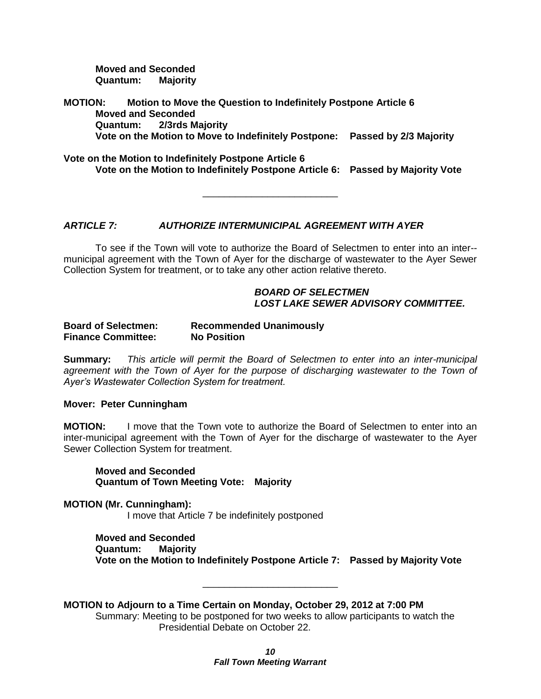**Moved and Seconded Quantum: Majority** 

**MOTION: Motion to Move the Question to Indefinitely Postpone Article 6 Moved and Seconded Quantum: 2/3rds Majority Vote on the Motion to Move to Indefinitely Postpone: Passed by 2/3 Majority**

**Vote on the Motion to Indefinitely Postpone Article 6 Vote on the Motion to Indefinitely Postpone Article 6: Passed by Majority Vote**

\_\_\_\_\_\_\_\_\_\_\_\_\_\_\_\_\_\_\_\_\_\_\_\_\_

# *ARTICLE 7: AUTHORIZE INTERMUNICIPAL AGREEMENT WITH AYER*

To see if the Town will vote to authorize the Board of Selectmen to enter into an inter- municipal agreement with the Town of Ayer for the discharge of wastewater to the Ayer Sewer Collection System for treatment, or to take any other action relative thereto.

# *BOARD OF SELECTMEN LOST LAKE SEWER ADVISORY COMMITTEE.*

# **Board of Selectmen: Recommended Unanimously Finance Committee: No Position**

**Summary:** *This article will permit the Board of Selectmen to enter into an inter-municipal agreement with the Town of Ayer for the purpose of discharging wastewater to the Town of Ayer's Wastewater Collection System for treatment.*

# **Mover: Peter Cunningham**

**MOTION:** I move that the Town vote to authorize the Board of Selectmen to enter into an inter-municipal agreement with the Town of Ayer for the discharge of wastewater to the Ayer Sewer Collection System for treatment.

**Moved and Seconded Quantum of Town Meeting Vote: Majority**

**MOTION (Mr. Cunningham):**

I move that Article 7 be indefinitely postponed

**Moved and Seconded Quantum: Majority Vote on the Motion to Indefinitely Postpone Article 7: Passed by Majority Vote** 

**MOTION to Adjourn to a Time Certain on Monday, October 29, 2012 at 7:00 PM** Summary: Meeting to be postponed for two weeks to allow participants to watch the Presidential Debate on October 22.

\_\_\_\_\_\_\_\_\_\_\_\_\_\_\_\_\_\_\_\_\_\_\_\_\_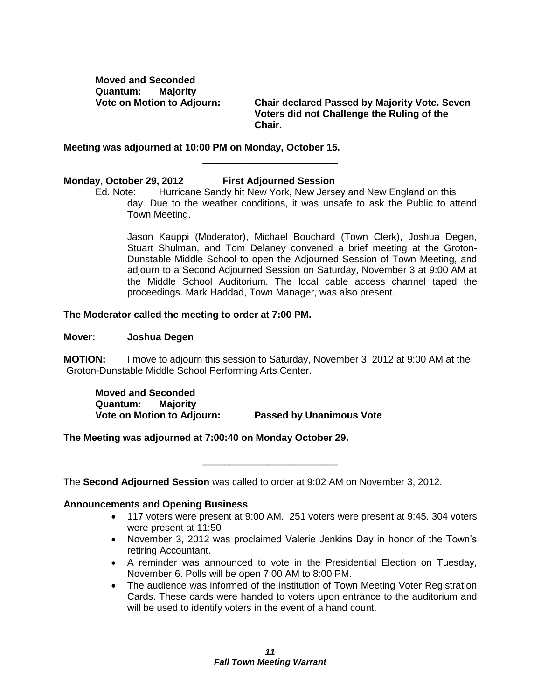**Moved and Seconded Quantum: Majority**

**Vote on Motion to Adjourn: Chair declared Passed by Majority Vote. Seven Voters did not Challenge the Ruling of the Chair.**

**Meeting was adjourned at 10:00 PM on Monday, October 15.**

# **Monday, October 29, 2012 First Adjourned Session**

Ed. Note: Hurricane Sandy hit New York, New Jersey and New England on this day. Due to the weather conditions, it was unsafe to ask the Public to attend Town Meeting.

\_\_\_\_\_\_\_\_\_\_\_\_\_\_\_\_\_\_\_\_\_\_\_\_\_

Jason Kauppi (Moderator), Michael Bouchard (Town Clerk), Joshua Degen, Stuart Shulman, and Tom Delaney convened a brief meeting at the Groton-Dunstable Middle School to open the Adjourned Session of Town Meeting, and adjourn to a Second Adjourned Session on Saturday, November 3 at 9:00 AM at the Middle School Auditorium. The local cable access channel taped the proceedings. Mark Haddad, Town Manager, was also present.

# **The Moderator called the meeting to order at 7:00 PM.**

# **Mover: Joshua Degen**

**MOTION:** I move to adjourn this session to Saturday, November 3, 2012 at 9:00 AM at the Groton-Dunstable Middle School Performing Arts Center.

**Moved and Seconded Quantum: Majority Vote on Motion to Adjourn: Passed by Unanimous Vote**

**The Meeting was adjourned at 7:00:40 on Monday October 29.**

The **Second Adjourned Session** was called to order at 9:02 AM on November 3, 2012.

\_\_\_\_\_\_\_\_\_\_\_\_\_\_\_\_\_\_\_\_\_\_\_\_\_

# **Announcements and Opening Business**

- 117 voters were present at 9:00 AM. 251 voters were present at 9:45. 304 voters were present at 11:50
- November 3, 2012 was proclaimed Valerie Jenkins Day in honor of the Town's retiring Accountant.
- A reminder was announced to vote in the Presidential Election on Tuesday, November 6. Polls will be open 7:00 AM to 8:00 PM.
- The audience was informed of the institution of Town Meeting Voter Registration Cards. These cards were handed to voters upon entrance to the auditorium and will be used to identify voters in the event of a hand count.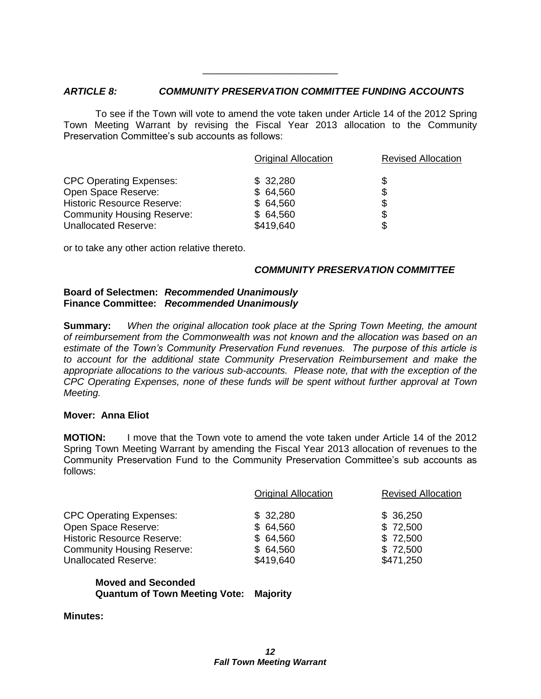# *ARTICLE 8: COMMUNITY PRESERVATION COMMITTEE FUNDING ACCOUNTS*

\_\_\_\_\_\_\_\_\_\_\_\_\_\_\_\_\_\_\_\_\_\_\_\_\_

To see if the Town will vote to amend the vote taken under Article 14 of the 2012 Spring Town Meeting Warrant by revising the Fiscal Year 2013 allocation to the Community Preservation Committee's sub accounts as follows:

| <b>Original Allocation</b> | <b>Revised Allocation</b> |  |  |
|----------------------------|---------------------------|--|--|
| \$32,280                   | \$                        |  |  |
| \$64,560                   | \$                        |  |  |
| \$64,560                   | \$                        |  |  |
| \$64,560                   | \$                        |  |  |
| \$419,640                  | \$                        |  |  |
|                            |                           |  |  |

or to take any other action relative thereto.

# *COMMUNITY PRESERVATION COMMITTEE*

# **Board of Selectmen:** *Recommended Unanimously* **Finance Committee:** *Recommended Unanimously*

**Summary:** *When the original allocation took place at the Spring Town Meeting, the amount of reimbursement from the Commonwealth was not known and the allocation was based on an estimate of the Town's Community Preservation Fund revenues. The purpose of this article is to account for the additional state Community Preservation Reimbursement and make the appropriate allocations to the various sub-accounts. Please note, that with the exception of the CPC Operating Expenses, none of these funds will be spent without further approval at Town Meeting.*

# **Mover: Anna Eliot**

**MOTION:** I move that the Town vote to amend the vote taken under Article 14 of the 2012 Spring Town Meeting Warrant by amending the Fiscal Year 2013 allocation of revenues to the Community Preservation Fund to the Community Preservation Committee's sub accounts as follows:

|                                   | <b>Original Allocation</b> | <b>Revised Allocation</b> |  |  |
|-----------------------------------|----------------------------|---------------------------|--|--|
| <b>CPC Operating Expenses:</b>    | \$32,280                   | \$36,250                  |  |  |
| Open Space Reserve:               | \$64,560                   | \$72,500                  |  |  |
| <b>Historic Resource Reserve:</b> | \$64,560                   | \$72,500                  |  |  |
| <b>Community Housing Reserve:</b> | \$64,560                   | \$72,500                  |  |  |
| <b>Unallocated Reserve:</b>       | \$419,640                  | \$471,250                 |  |  |

# **Moved and Seconded Quantum of Town Meeting Vote: Majority**

# **Minutes:**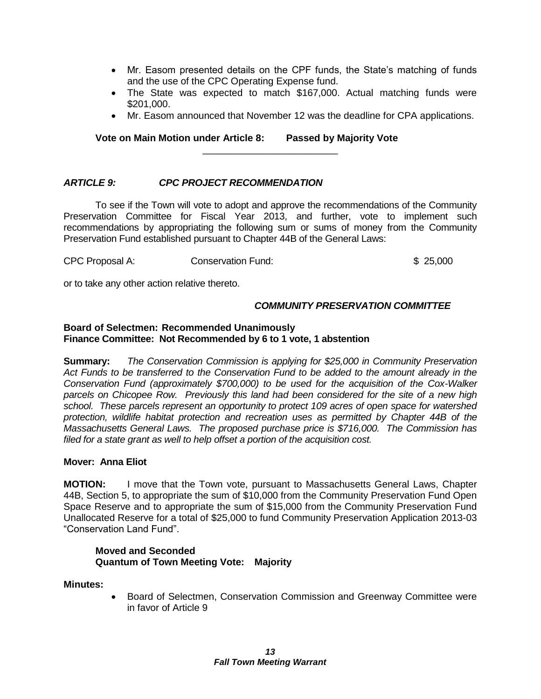- Mr. Easom presented details on the CPF funds, the State's matching of funds and the use of the CPC Operating Expense fund.
- The State was expected to match \$167,000. Actual matching funds were \$201,000.
- Mr. Easom announced that November 12 was the deadline for CPA applications.

**Vote on Main Motion under Article 8: Passed by Majority Vote**

# *ARTICLE 9: CPC PROJECT RECOMMENDATION*

To see if the Town will vote to adopt and approve the recommendations of the Community Preservation Committee for Fiscal Year 2013, and further, vote to implement such recommendations by appropriating the following sum or sums of money from the Community Preservation Fund established pursuant to Chapter 44B of the General Laws:

\_\_\_\_\_\_\_\_\_\_\_\_\_\_\_\_\_\_\_\_\_\_\_\_\_

CPC Proposal A: Conservation Fund: \$ 25,000

or to take any other action relative thereto.

# *COMMUNITY PRESERVATION COMMITTEE*

# **Board of Selectmen: Recommended Unanimously Finance Committee: Not Recommended by 6 to 1 vote, 1 abstention**

**Summary:** *The Conservation Commission is applying for \$25,000 in Community Preservation Act Funds to be transferred to the Conservation Fund to be added to the amount already in the Conservation Fund (approximately \$700,000) to be used for the acquisition of the Cox-Walker parcels on Chicopee Row. Previously this land had been considered for the site of a new high school. These parcels represent an opportunity to protect 109 acres of open space for watershed protection, wildlife habitat protection and recreation uses as permitted by Chapter 44B of the Massachusetts General Laws. The proposed purchase price is \$716,000. The Commission has filed for a state grant as well to help offset a portion of the acquisition cost.*

# **Mover: Anna Eliot**

**MOTION:** I move that the Town vote, pursuant to Massachusetts General Laws, Chapter 44B, Section 5, to appropriate the sum of \$10,000 from the Community Preservation Fund Open Space Reserve and to appropriate the sum of \$15,000 from the Community Preservation Fund Unallocated Reserve for a total of \$25,000 to fund Community Preservation Application 2013-03 "Conservation Land Fund".

# **Moved and Seconded Quantum of Town Meeting Vote: Majority**

# **Minutes:**

 Board of Selectmen, Conservation Commission and Greenway Committee were in favor of Article 9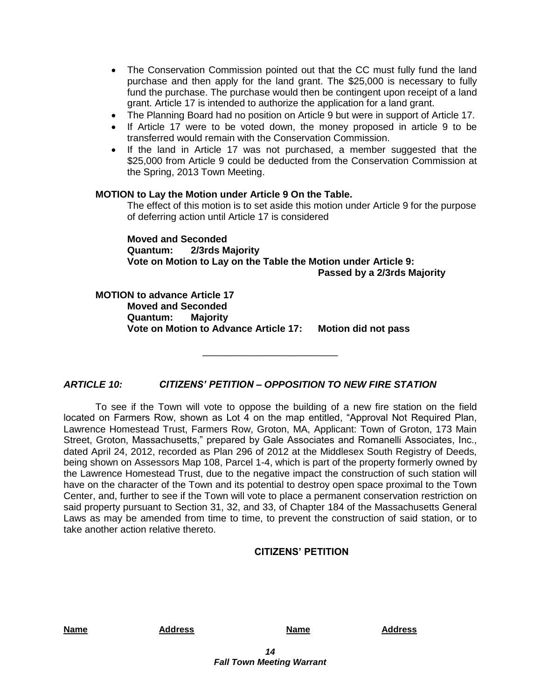- The Conservation Commission pointed out that the CC must fully fund the land purchase and then apply for the land grant. The \$25,000 is necessary to fully fund the purchase. The purchase would then be contingent upon receipt of a land grant. Article 17 is intended to authorize the application for a land grant.
- The Planning Board had no position on Article 9 but were in support of Article 17.
- If Article 17 were to be voted down, the money proposed in article 9 to be transferred would remain with the Conservation Commission.
- If the land in Article 17 was not purchased, a member suggested that the \$25,000 from Article 9 could be deducted from the Conservation Commission at the Spring, 2013 Town Meeting.

# **MOTION to Lay the Motion under Article 9 On the Table.**

The effect of this motion is to set aside this motion under Article 9 for the purpose of deferring action until Article 17 is considered

**Moved and Seconded Quantum: 2/3rds Majority Vote on Motion to Lay on the Table the Motion under Article 9: Passed by a 2/3rds Majority**

**MOTION to advance Article 17 Moved and Seconded Quantum: Majority Vote on Motion to Advance Article 17: Motion did not pass**

\_\_\_\_\_\_\_\_\_\_\_\_\_\_\_\_\_\_\_\_\_\_\_\_\_

*ARTICLE 10: CITIZENS' PETITION – OPPOSITION TO NEW FIRE STATION*

To see if the Town will vote to oppose the building of a new fire station on the field located on Farmers Row, shown as Lot 4 on the map entitled, "Approval Not Required Plan, Lawrence Homestead Trust, Farmers Row, Groton, MA, Applicant: Town of Groton, 173 Main Street, Groton, Massachusetts," prepared by Gale Associates and Romanelli Associates, Inc., dated April 24, 2012, recorded as Plan 296 of 2012 at the Middlesex South Registry of Deeds, being shown on Assessors Map 108, Parcel 1-4, which is part of the property formerly owned by the Lawrence Homestead Trust, due to the negative impact the construction of such station will have on the character of the Town and its potential to destroy open space proximal to the Town Center, and, further to see if the Town will vote to place a permanent conservation restriction on said property pursuant to Section 31, 32, and 33, of Chapter 184 of the Massachusetts General Laws as may be amended from time to time, to prevent the construction of said station, or to take another action relative thereto.

# **CITIZENS' PETITION**

**Name Address Name Address**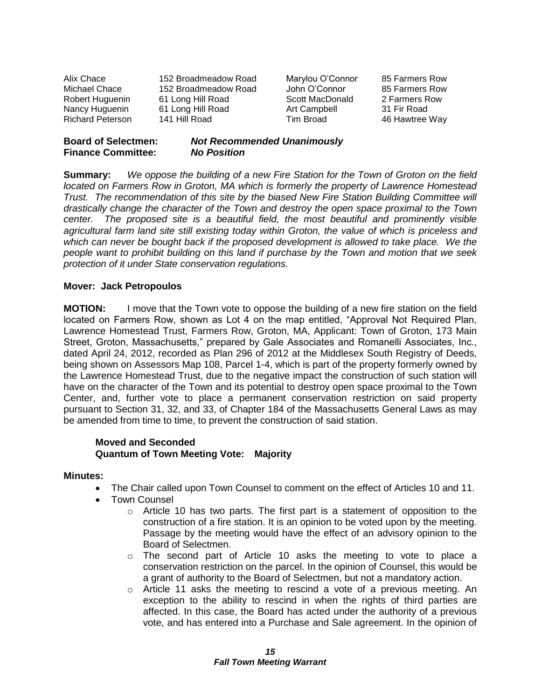| Alix Chace              | 152 Broadmeadow Ro |
|-------------------------|--------------------|
| Michael Chace           | 152 Broadmeadow Ro |
| Robert Huguenin         | 61 Long Hill Road  |
| Nancy Huguenin          | 61 Long Hill Road  |
| <b>Richard Peterson</b> | 141 Hill Road      |
|                         |                    |

head Marylou O'Connor 85 Farmers Row ad John O'Connor 85 Farmers Row Scott MacDonald 2 Farmers Row Art Campbell 31 Fir Road Tim Broad 46 Hawtree Way

| <b>Board of Selectmen:</b> | <b>Not Recommended Unanimously</b> |
|----------------------------|------------------------------------|
| <b>Finance Committee:</b>  | <b>No Position</b>                 |

**Summary:** *We oppose the building of a new Fire Station for the Town of Groton on the field located on Farmers Row in Groton, MA which is formerly the property of Lawrence Homestead Trust. The recommendation of this site by the biased New Fire Station Building Committee will drastically change the character of the Town and destroy the open space proximal to the Town center. The proposed site is a beautiful field, the most beautiful and prominently visible agricultural farm land site still existing today within Groton, the value of which is priceless and which can never be bought back if the proposed development is allowed to take place. We the people want to prohibit building on this land if purchase by the Town and motion that we seek protection of it under State conservation regulations.*

# **Mover: Jack Petropoulos**

**MOTION:** I move that the Town vote to oppose the building of a new fire station on the field located on Farmers Row, shown as Lot 4 on the map entitled, "Approval Not Required Plan, Lawrence Homestead Trust, Farmers Row, Groton, MA, Applicant: Town of Groton, 173 Main Street, Groton, Massachusetts," prepared by Gale Associates and Romanelli Associates, Inc., dated April 24, 2012, recorded as Plan 296 of 2012 at the Middlesex South Registry of Deeds, being shown on Assessors Map 108, Parcel 1-4, which is part of the property formerly owned by the Lawrence Homestead Trust, due to the negative impact the construction of such station will have on the character of the Town and its potential to destroy open space proximal to the Town Center, and, further vote to place a permanent conservation restriction on said property pursuant to Section 31, 32, and 33, of Chapter 184 of the Massachusetts General Laws as may be amended from time to time, to prevent the construction of said station.

# **Moved and Seconded Quantum of Town Meeting Vote: Majority**

# **Minutes:**

- The Chair called upon Town Counsel to comment on the effect of Articles 10 and 11.
- Town Counsel
	- $\circ$  Article 10 has two parts. The first part is a statement of opposition to the construction of a fire station. It is an opinion to be voted upon by the meeting. Passage by the meeting would have the effect of an advisory opinion to the Board of Selectmen.
	- $\circ$  The second part of Article 10 asks the meeting to vote to place a conservation restriction on the parcel. In the opinion of Counsel, this would be a grant of authority to the Board of Selectmen, but not a mandatory action.
	- $\circ$  Article 11 asks the meeting to rescind a vote of a previous meeting. An exception to the ability to rescind in when the rights of third parties are affected. In this case, the Board has acted under the authority of a previous vote, and has entered into a Purchase and Sale agreement. In the opinion of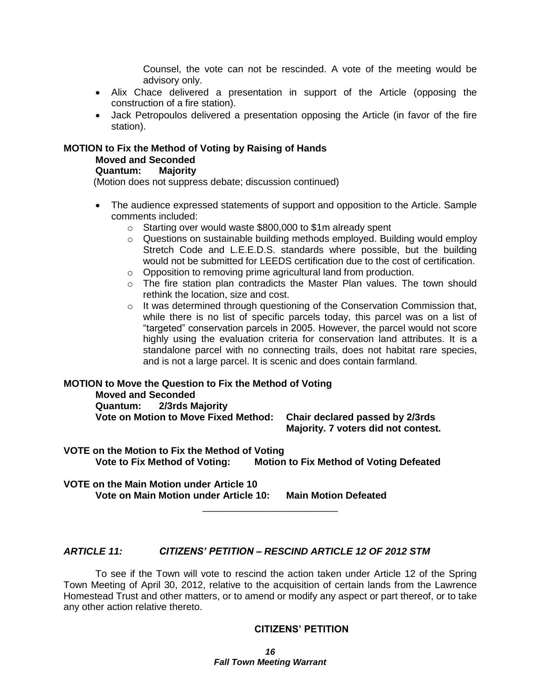Counsel, the vote can not be rescinded. A vote of the meeting would be advisory only.

- Alix Chace delivered a presentation in support of the Article (opposing the construction of a fire station).
- Jack Petropoulos delivered a presentation opposing the Article (in favor of the fire station).

# **MOTION to Fix the Method of Voting by Raising of Hands**

# **Moved and Seconded**

# **Quantum: Majority**

(Motion does not suppress debate; discussion continued)

- The audience expressed statements of support and opposition to the Article. Sample comments included:
	- o Starting over would waste \$800,000 to \$1m already spent
	- o Questions on sustainable building methods employed. Building would employ Stretch Code and L.E.E.D.S. standards where possible, but the building would not be submitted for LEEDS certification due to the cost of certification.
	- o Opposition to removing prime agricultural land from production.
	- o The fire station plan contradicts the Master Plan values. The town should rethink the location, size and cost.
	- o It was determined through questioning of the Conservation Commission that, while there is no list of specific parcels today, this parcel was on a list of "targeted" conservation parcels in 2005. However, the parcel would not score highly using the evaluation criteria for conservation land attributes. It is a standalone parcel with no connecting trails, does not habitat rare species, and is not a large parcel. It is scenic and does contain farmland.

# **MOTION to Move the Question to Fix the Method of Voting**

# **Moved and Seconded**

# **Quantum: 2/3rds Majority**

**Vote on Motion to Move Fixed Method: Chair declared passed by 2/3rds** 

**Majority. 7 voters did not contest.**

**VOTE on the Motion to Fix the Method of Voting Vote to Fix Method of Voting: Motion to Fix Method of Voting Defeated**

**VOTE on the Main Motion under Article 10 Vote on Main Motion under Article 10: Main Motion Defeated**

# *ARTICLE 11: CITIZENS' PETITION – RESCIND ARTICLE 12 OF 2012 STM*

To see if the Town will vote to rescind the action taken under Article 12 of the Spring Town Meeting of April 30, 2012, relative to the acquisition of certain lands from the Lawrence Homestead Trust and other matters, or to amend or modify any aspect or part thereof, or to take any other action relative thereto.

\_\_\_\_\_\_\_\_\_\_\_\_\_\_\_\_\_\_\_\_\_\_\_\_\_

# **CITIZENS' PETITION**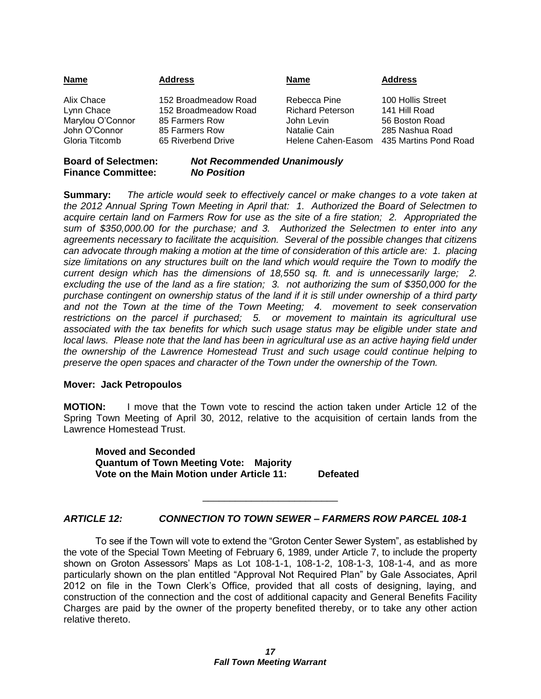| <b>Name</b>      | <b>Address</b>       | <b>Name</b>             | <b>Address</b>        |  |  |
|------------------|----------------------|-------------------------|-----------------------|--|--|
| Alix Chace       | 152 Broadmeadow Road | Rebecca Pine            | 100 Hollis Street     |  |  |
| Lynn Chace       | 152 Broadmeadow Road | <b>Richard Peterson</b> | 141 Hill Road         |  |  |
| Marylou O'Connor | 85 Farmers Row       | John Levin              | 56 Boston Road        |  |  |
| John O'Connor    | 85 Farmers Row       | Natalie Cain            | 285 Nashua Road       |  |  |
| Gloria Titcomb   | 65 Riverbend Drive   | Helene Cahen-Easom      | 435 Martins Pond Road |  |  |

| <b>Board of Selectmen:</b> | <b>Not Recommended Unanimously</b> |
|----------------------------|------------------------------------|
| <b>Finance Committee:</b>  | <b>No Position</b>                 |

**Summary:** *The article would seek to effectively cancel or make changes to a vote taken at the 2012 Annual Spring Town Meeting in April that: 1. Authorized the Board of Selectmen to acquire certain land on Farmers Row for use as the site of a fire station; 2. Appropriated the sum of \$350,000.00 for the purchase; and 3. Authorized the Selectmen to enter into any agreements necessary to facilitate the acquisition. Several of the possible changes that citizens can advocate through making a motion at the time of consideration of this article are: 1. placing size limitations on any structures built on the land which would require the Town to modify the current design which has the dimensions of 18,550 sq. ft. and is unnecessarily large; 2. excluding the use of the land as a fire station; 3. not authorizing the sum of \$350,000 for the purchase contingent on ownership status of the land if it is still under ownership of a third party and not the Town at the time of the Town Meeting; 4. movement to seek conservation restrictions on the parcel if purchased; 5. or movement to maintain its agricultural use associated with the tax benefits for which such usage status may be eligible under state and local laws. Please note that the land has been in agricultural use as an active haying field under the ownership of the Lawrence Homestead Trust and such usage could continue helping to preserve the open spaces and character of the Town under the ownership of the Town.*

# **Mover: Jack Petropoulos**

**MOTION:** I move that the Town vote to rescind the action taken under Article 12 of the Spring Town Meeting of April 30, 2012, relative to the acquisition of certain lands from the Lawrence Homestead Trust.

**Moved and Seconded Quantum of Town Meeting Vote: Majority Vote on the Main Motion under Article 11: Defeated**

# *ARTICLE 12: CONNECTION TO TOWN SEWER – FARMERS ROW PARCEL 108-1*

\_\_\_\_\_\_\_\_\_\_\_\_\_\_\_\_\_\_\_\_\_\_\_\_\_

To see if the Town will vote to extend the "Groton Center Sewer System", as established by the vote of the Special Town Meeting of February 6, 1989, under Article 7, to include the property shown on Groton Assessors' Maps as Lot 108-1-1, 108-1-2, 108-1-3, 108-1-4, and as more particularly shown on the plan entitled "Approval Not Required Plan" by Gale Associates, April 2012 on file in the Town Clerk's Office, provided that all costs of designing, laying, and construction of the connection and the cost of additional capacity and General Benefits Facility Charges are paid by the owner of the property benefited thereby, or to take any other action relative thereto.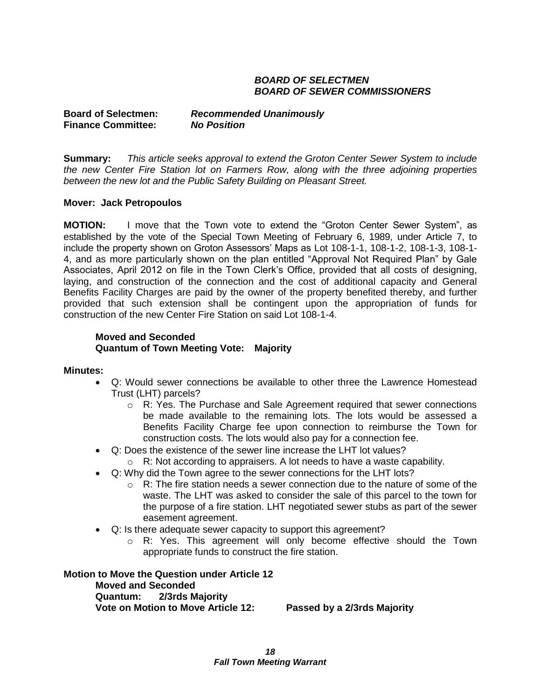# *BOARD OF SELECTMEN BOARD OF SEWER COMMISSIONERS*

**Board of Selectmen:** *Recommended Unanimously* **Finance Committee:** *No Position*

**Summary:** *This article seeks approval to extend the Groton Center Sewer System to include the new Center Fire Station lot on Farmers Row, along with the three adjoining properties between the new lot and the Public Safety Building on Pleasant Street.*

# **Mover: Jack Petropoulos**

**MOTION:** I move that the Town vote to extend the "Groton Center Sewer System", as established by the vote of the Special Town Meeting of February 6, 1989, under Article 7, to include the property shown on Groton Assessors' Maps as Lot 108-1-1, 108-1-2, 108-1-3, 108-1- 4, and as more particularly shown on the plan entitled "Approval Not Required Plan" by Gale Associates, April 2012 on file in the Town Clerk's Office, provided that all costs of designing, laying, and construction of the connection and the cost of additional capacity and General Benefits Facility Charges are paid by the owner of the property benefited thereby, and further provided that such extension shall be contingent upon the appropriation of funds for construction of the new Center Fire Station on said Lot 108-1-4.

# **Moved and Seconded Quantum of Town Meeting Vote: Majority**

#### **Minutes:**

- Q: Would sewer connections be available to other three the Lawrence Homestead Trust (LHT) parcels?
	- o R: Yes. The Purchase and Sale Agreement required that sewer connections be made available to the remaining lots. The lots would be assessed a Benefits Facility Charge fee upon connection to reimburse the Town for construction costs. The lots would also pay for a connection fee.
- Q: Does the existence of the sewer line increase the LHT lot values?
	- $\circ$  R: Not according to appraisers. A lot needs to have a waste capability.
- Q: Why did the Town agree to the sewer connections for the LHT lots?
	- $\circ$  R: The fire station needs a sewer connection due to the nature of some of the waste. The LHT was asked to consider the sale of this parcel to the town for the purpose of a fire station. LHT negotiated sewer stubs as part of the sewer easement agreement.
- Q: Is there adequate sewer capacity to support this agreement?
	- o R: Yes. This agreement will only become effective should the Town appropriate funds to construct the fire station.

**Motion to Move the Question under Article 12 Moved and Seconded Quantum: 2/3rds Majority Vote on Motion to Move Article 12: Passed by a 2/3rds Majority**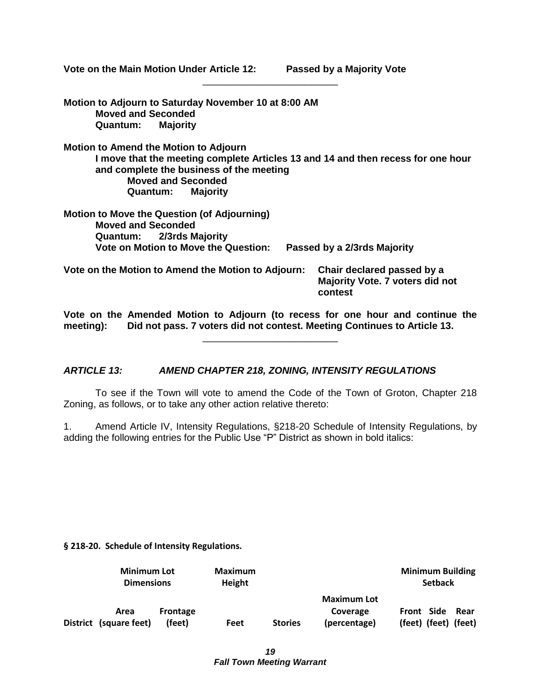**Vote on the Main Motion Under Article 12: Passed by a Majority Vote**

**Majority Vote. 7 voters did not** 

**contest**

**Motion to Adjourn to Saturday November 10 at 8:00 AM Moved and Seconded Quantum: Majority Motion to Amend the Motion to Adjourn I move that the meeting complete Articles 13 and 14 and then recess for one hour and complete the business of the meeting Moved and Seconded Quantum: Majority Motion to Move the Question (of Adjourning) Moved and Seconded Quantum: 2/3rds Majority Vote on Motion to Move the Question: Passed by a 2/3rds Majority Vote on the Motion to Amend the Motion to Adjourn: Chair declared passed by a** 

\_\_\_\_\_\_\_\_\_\_\_\_\_\_\_\_\_\_\_\_\_\_\_\_\_

**Vote on the Amended Motion to Adjourn (to recess for one hour and continue the meeting): Did not pass. 7 voters did not contest. Meeting Continues to Article 13.**

\_\_\_\_\_\_\_\_\_\_\_\_\_\_\_\_\_\_\_\_\_\_\_\_\_

# *ARTICLE 13: AMEND CHAPTER 218, ZONING, INTENSITY REGULATIONS*

To see if the Town will vote to amend the Code of the Town of Groton, Chapter 218 Zoning, as follows, or to take any other action relative thereto:

1. Amend Article IV, Intensity Regulations, §218-20 Schedule of Intensity Regulations, by adding the following entries for the Public Use "P" District as shown in bold italics:

**§ 218-20. Schedule of Intensity Regulations.**

| <b>Minimum Lot</b> |                        | <b>Maximum</b> |      |                | <b>Minimum Building</b> |                      |      |
|--------------------|------------------------|----------------|------|----------------|-------------------------|----------------------|------|
| <b>Dimensions</b>  |                        | Height         |      |                | <b>Setback</b>          |                      |      |
|                    |                        |                |      |                | <b>Maximum Lot</b>      |                      |      |
|                    | Area                   | Frontage       |      |                | Coverage                | Front Side           | Rear |
|                    | District (square feet) | (feet)         | Feet | <b>Stories</b> | (percentage)            | (feet) (feet) (feet) |      |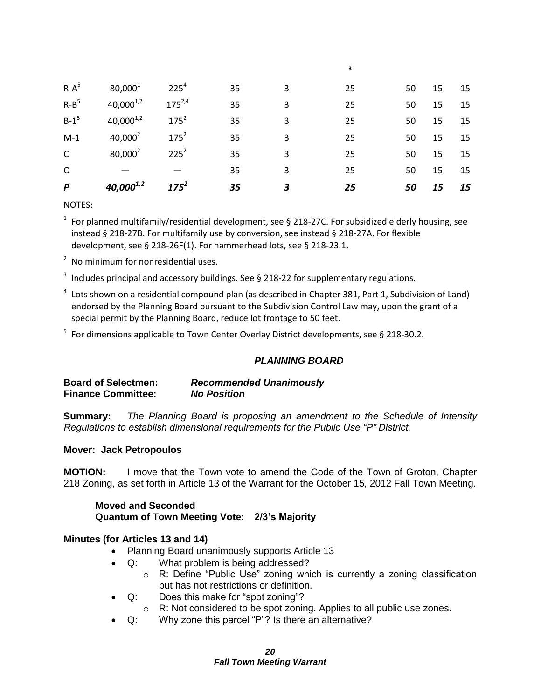| $\boldsymbol{P}$ | $40,000^{1,2}$ | $175^2$          | 35 | 3 | 25 | 50 | 15 | 15 |
|------------------|----------------|------------------|----|---|----|----|----|----|
| $\circ$          |                |                  | 35 | 3 | 25 | 50 | 15 | 15 |
| $\mathsf{C}$     | $80,000^2$     | $225^2$          | 35 | 3 | 25 | 50 | 15 | 15 |
| $M-1$            | $40,000^2$     | $175^2$          | 35 | 3 | 25 | 50 | 15 | 15 |
| $B-1^5$          | $40,000^{1,2}$ | $175^2$          | 35 | 3 | 25 | 50 | 15 | 15 |
| $R - B^5$        | $40,000^{1,2}$ | $175^{2,4}$      | 35 | 3 | 25 | 50 | 15 | 15 |
| $R-A^5$          | $80,000^{1}$   | 225 <sup>4</sup> | 35 | 3 | 25 | 50 | 15 | 15 |
|                  |                |                  |    |   | з  |    |    |    |

NOTES:

 $1$  For planned multifamily/residential development, see § 218-27C. For subsidized elderly housing, see instead § 218-27B. For multifamily use by conversion, see instead § 218-27A. For flexible development, see § 218-26F(1). For hammerhead lots, see § 218-23.1.

<sup>2</sup> No minimum for nonresidential uses.

 $3$  Includes principal and accessory buildings. See § 218-22 for supplementary regulations.

 $4$  Lots shown on a residential compound plan (as described in Chapter 381, Part 1, Subdivision of Land) endorsed by the Planning Board pursuant to the Subdivision Control Law may, upon the grant of a special permit by the Planning Board, reduce lot frontage to 50 feet.

 $5$  For dimensions applicable to Town Center Overlay District developments, see § 218-30.2.

# *PLANNING BOARD*

# **Board of Selectmen:** *Recommended Unanimously* **Finance Committee:**

**Summary:** *The Planning Board is proposing an amendment to the Schedule of Intensity Regulations to establish dimensional requirements for the Public Use "P" District.*

# **Mover: Jack Petropoulos**

**MOTION:** I move that the Town vote to amend the Code of the Town of Groton, Chapter 218 Zoning, as set forth in Article 13 of the Warrant for the October 15, 2012 Fall Town Meeting.

# **Moved and Seconded Quantum of Town Meeting Vote: 2/3's Majority**

# **Minutes (for Articles 13 and 14)**

- Planning Board unanimously supports Article 13
- Q: What problem is being addressed?
	- o R: Define "Public Use" zoning which is currently a zoning classification but has not restrictions or definition.
- Q: Does this make for "spot zoning"?
	- o R: Not considered to be spot zoning. Applies to all public use zones.
- Q: Why zone this parcel "P"? Is there an alternative?

#### *20 Fall Town Meeting Warrant*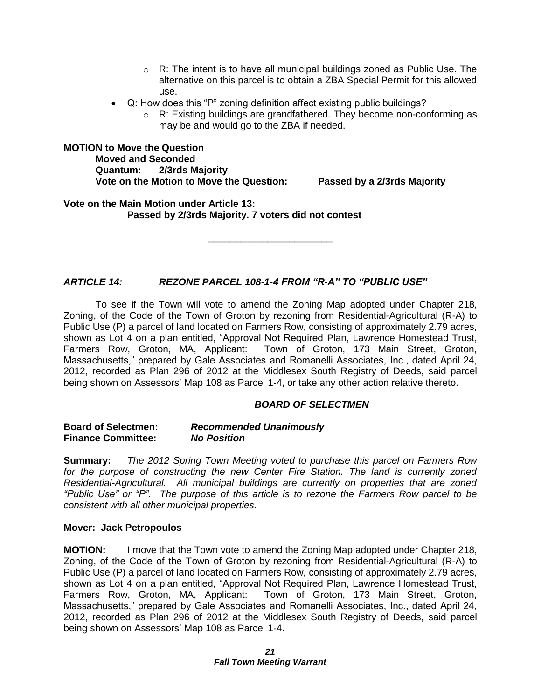- $\circ$  R: The intent is to have all municipal buildings zoned as Public Use. The alternative on this parcel is to obtain a ZBA Special Permit for this allowed use.
- Q: How does this "P" zoning definition affect existing public buildings?
	- $\circ$  R: Existing buildings are grandfathered. They become non-conforming as may be and would go to the ZBA if needed.

**MOTION to Move the Question Moved and Seconded Quantum: 2/3rds Majority Vote on the Motion to Move the Question: Passed by a 2/3rds Majority**

**Vote on the Main Motion under Article 13: Passed by 2/3rds Majority. 7 voters did not contest**

\_\_\_\_\_\_\_\_\_\_\_\_\_\_\_\_\_\_\_\_\_\_\_

# *ARTICLE 14: REZONE PARCEL 108-1-4 FROM "R-A" TO "PUBLIC USE"*

To see if the Town will vote to amend the Zoning Map adopted under Chapter 218, Zoning, of the Code of the Town of Groton by rezoning from Residential-Agricultural (R-A) to Public Use (P) a parcel of land located on Farmers Row, consisting of approximately 2.79 acres, shown as Lot 4 on a plan entitled, "Approval Not Required Plan, Lawrence Homestead Trust, Farmers Row, Groton, MA, Applicant: Town of Groton, 173 Main Street, Groton, Massachusetts," prepared by Gale Associates and Romanelli Associates, Inc., dated April 24, 2012, recorded as Plan 296 of 2012 at the Middlesex South Registry of Deeds, said parcel being shown on Assessors' Map 108 as Parcel 1-4, or take any other action relative thereto.

# *BOARD OF SELECTMEN*

# **Board of Selectmen:** *Recommended Unanimously* **Finance Committee:** *No Position*

**Summary:** *The 2012 Spring Town Meeting voted to purchase this parcel on Farmers Row*  for the purpose of constructing the new Center Fire Station. The land is currently zoned *Residential-Agricultural. All municipal buildings are currently on properties that are zoned "Public Use" or "P". The purpose of this article is to rezone the Farmers Row parcel to be consistent with all other municipal properties.*

# **Mover: Jack Petropoulos**

**MOTION:** I move that the Town vote to amend the Zoning Map adopted under Chapter 218, Zoning, of the Code of the Town of Groton by rezoning from Residential-Agricultural (R-A) to Public Use (P) a parcel of land located on Farmers Row, consisting of approximately 2.79 acres, shown as Lot 4 on a plan entitled, "Approval Not Required Plan, Lawrence Homestead Trust, Farmers Row, Groton, MA, Applicant: Town of Groton, 173 Main Street, Groton, Massachusetts," prepared by Gale Associates and Romanelli Associates, Inc., dated April 24, 2012, recorded as Plan 296 of 2012 at the Middlesex South Registry of Deeds, said parcel being shown on Assessors' Map 108 as Parcel 1-4.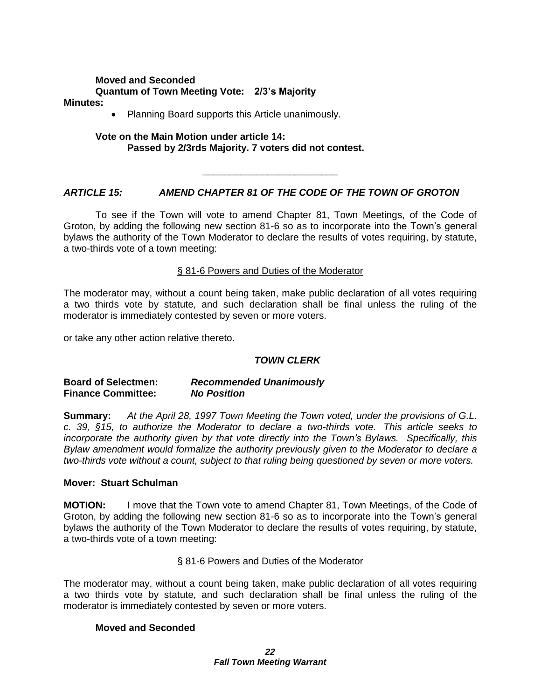# **Moved and Seconded Quantum of Town Meeting Vote: 2/3's Majority**

**Minutes:**

Planning Board supports this Article unanimously.

# **Vote on the Main Motion under article 14: Passed by 2/3rds Majority. 7 voters did not contest.**

# *ARTICLE 15: AMEND CHAPTER 81 OF THE CODE OF THE TOWN OF GROTON*

\_\_\_\_\_\_\_\_\_\_\_\_\_\_\_\_\_\_\_\_\_\_\_\_\_

To see if the Town will vote to amend Chapter 81, Town Meetings, of the Code of Groton, by adding the following new section 81-6 so as to incorporate into the Town's general bylaws the authority of the Town Moderator to declare the results of votes requiring, by statute, a two-thirds vote of a town meeting:

# [§ 81-6 Powers](http://ecode360.com/9077604#9077615) and Duties of the Moderator

The moderator may, without a count being taken, make public declaration of all votes requiring a two thirds vote by statute, and such declaration shall be final unless the ruling of the moderator is immediately contested by seven or more voters.

or take any other action relative thereto.

# *TOWN CLERK*

# **Board of Selectmen:** *Recommended Unanimously* **Finance Committee:** *No Position*

**Summary:** *At the April 28, 1997 Town Meeting the Town voted, under the provisions of G.L. c. 39, §15, to authorize the Moderator to declare a two-thirds vote. This article seeks to incorporate the authority given by that vote directly into the Town's Bylaws. Specifically, this Bylaw amendment would formalize the authority previously given to the Moderator to declare a two-thirds vote without a count, subject to that ruling being questioned by seven or more voters.*

# **Mover: Stuart Schulman**

**MOTION:** I move that the Town vote to amend Chapter 81, Town Meetings, of the Code of Groton, by adding the following new section 81-6 so as to incorporate into the Town's general bylaws the authority of the Town Moderator to declare the results of votes requiring, by statute, a two-thirds vote of a town meeting:

# [§ 81-6 Powers](http://ecode360.com/9077604#9077615) and Duties of the Moderator

The moderator may, without a count being taken, make public declaration of all votes requiring a two thirds vote by statute, and such declaration shall be final unless the ruling of the moderator is immediately contested by seven or more voters.

# **Moved and Seconded**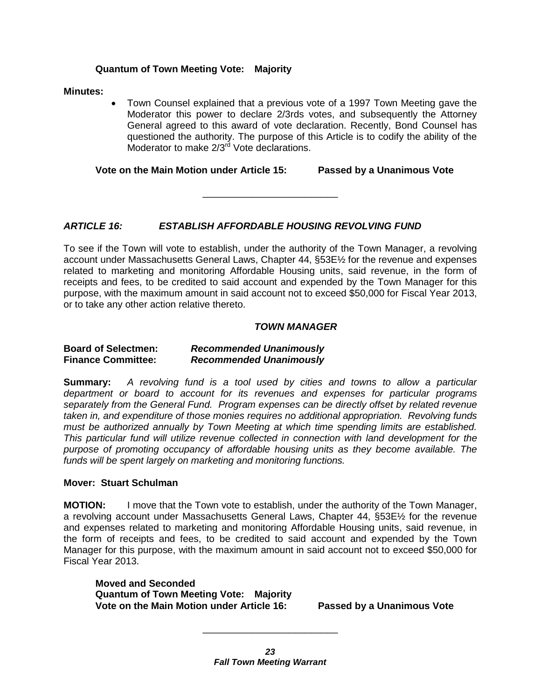# **Quantum of Town Meeting Vote: Majority**

# **Minutes:**

 Town Counsel explained that a previous vote of a 1997 Town Meeting gave the Moderator this power to declare 2/3rds votes, and subsequently the Attorney General agreed to this award of vote declaration. Recently, Bond Counsel has questioned the authority. The purpose of this Article is to codify the ability of the Moderator to make 2/3<sup>rd</sup> Vote declarations.

**Vote on the Main Motion under Article 15: Passed by a Unanimous Vote**

\_\_\_\_\_\_\_\_\_\_\_\_\_\_\_\_\_\_\_\_\_\_\_\_\_

# *ARTICLE 16: ESTABLISH AFFORDABLE HOUSING REVOLVING FUND*

To see if the Town will vote to establish, under the authority of the Town Manager, a revolving account under Massachusetts General Laws, Chapter 44, §53E½ for the revenue and expenses related to marketing and monitoring Affordable Housing units, said revenue, in the form of receipts and fees, to be credited to said account and expended by the Town Manager for this purpose, with the maximum amount in said account not to exceed \$50,000 for Fiscal Year 2013, or to take any other action relative thereto.

# *TOWN MANAGER*

# **Board of Selectmen:** *Recommended Unanimously* **Finance Committee:** *Recommended Unanimously*

**Summary:** *A revolving fund is a tool used by cities and towns to allow a particular department or board to account for its revenues and expenses for particular programs separately from the General Fund. Program expenses can be directly offset by related revenue taken in, and expenditure of those monies requires no additional appropriation. Revolving funds must be authorized annually by Town Meeting at which time spending limits are established. This particular fund will utilize revenue collected in connection with land development for the purpose of promoting occupancy of affordable housing units as they become available. The funds will be spent largely on marketing and monitoring functions.*

# **Mover: Stuart Schulman**

**MOTION:** I move that the Town vote to establish, under the authority of the Town Manager, a revolving account under Massachusetts General Laws, Chapter 44, §53E½ for the revenue and expenses related to marketing and monitoring Affordable Housing units, said revenue, in the form of receipts and fees, to be credited to said account and expended by the Town Manager for this purpose, with the maximum amount in said account not to exceed \$50,000 for Fiscal Year 2013.

**Moved and Seconded Quantum of Town Meeting Vote: Majority Vote on the Main Motion under Article 16: Passed by a Unanimous Vote**

\_\_\_\_\_\_\_\_\_\_\_\_\_\_\_\_\_\_\_\_\_\_\_\_\_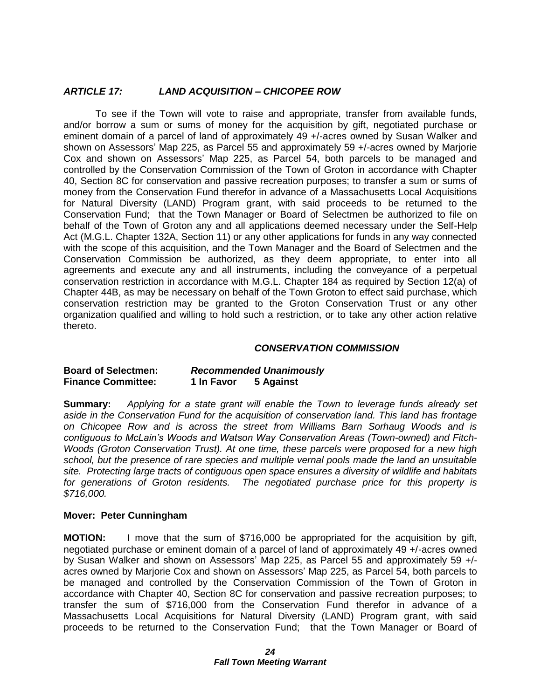# *ARTICLE 17: LAND ACQUISITION – CHICOPEE ROW*

To see if the Town will vote to raise and appropriate, transfer from available funds, and/or borrow a sum or sums of money for the acquisition by gift, negotiated purchase or eminent domain of a parcel of land of approximately 49 +/-acres owned by Susan Walker and shown on Assessors' Map 225, as Parcel 55 and approximately 59 +/-acres owned by Marjorie Cox and shown on Assessors' Map 225, as Parcel 54, both parcels to be managed and controlled by the Conservation Commission of the Town of Groton in accordance with Chapter 40, Section 8C for conservation and passive recreation purposes; to transfer a sum or sums of money from the Conservation Fund therefor in advance of a Massachusetts Local Acquisitions for Natural Diversity (LAND) Program grant, with said proceeds to be returned to the Conservation Fund; that the Town Manager or Board of Selectmen be authorized to file on behalf of the Town of Groton any and all applications deemed necessary under the Self-Help Act (M.G.L. Chapter 132A, Section 11) or any other applications for funds in any way connected with the scope of this acquisition, and the Town Manager and the Board of Selectmen and the Conservation Commission be authorized, as they deem appropriate, to enter into all agreements and execute any and all instruments, including the conveyance of a perpetual conservation restriction in accordance with M.G.L. Chapter 184 as required by Section 12(a) of Chapter 44B, as may be necessary on behalf of the Town Groton to effect said purchase, which conservation restriction may be granted to the Groton Conservation Trust or any other organization qualified and willing to hold such a restriction, or to take any other action relative thereto.

### *CONSERVATION COMMISSION*

# **Board of Selectmen:** *Recommended Unanimously* **Finance Committee: 1 In Favor 5 Against**

**Summary:** *Applying for a state grant will enable the Town to leverage funds already set aside in the Conservation Fund for the acquisition of conservation land. This land has frontage on Chicopee Row and is across the street from Williams Barn Sorhaug Woods and is contiguous to McLain's Woods and Watson Way Conservation Areas (Town-owned) and Fitch-Woods (Groton Conservation Trust). At one time, these parcels were proposed for a new high school, but the presence of rare species and multiple vernal pools made the land an unsuitable site. Protecting large tracts of contiguous open space ensures a diversity of wildlife and habitats for generations of Groton residents. The negotiated purchase price for this property is \$716,000.*

# **Mover: Peter Cunningham**

**MOTION:** I move that the sum of \$716,000 be appropriated for the acquisition by gift, negotiated purchase or eminent domain of a parcel of land of approximately 49 +/-acres owned by Susan Walker and shown on Assessors' Map 225, as Parcel 55 and approximately 59 +/ acres owned by Marjorie Cox and shown on Assessors' Map 225, as Parcel 54, both parcels to be managed and controlled by the Conservation Commission of the Town of Groton in accordance with Chapter 40, Section 8C for conservation and passive recreation purposes; to transfer the sum of \$716,000 from the Conservation Fund therefor in advance of a Massachusetts Local Acquisitions for Natural Diversity (LAND) Program grant, with said proceeds to be returned to the Conservation Fund; that the Town Manager or Board of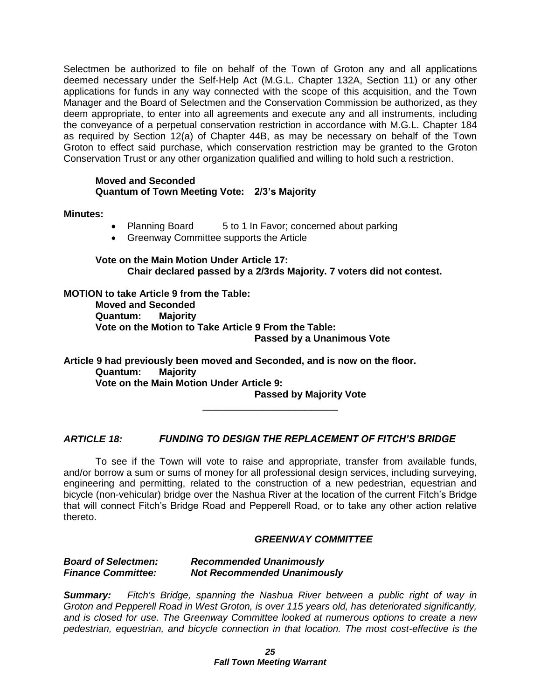Selectmen be authorized to file on behalf of the Town of Groton any and all applications deemed necessary under the Self-Help Act (M.G.L. Chapter 132A, Section 11) or any other applications for funds in any way connected with the scope of this acquisition, and the Town Manager and the Board of Selectmen and the Conservation Commission be authorized, as they deem appropriate, to enter into all agreements and execute any and all instruments, including the conveyance of a perpetual conservation restriction in accordance with M.G.L. Chapter 184 as required by Section 12(a) of Chapter 44B, as may be necessary on behalf of the Town Groton to effect said purchase, which conservation restriction may be granted to the Groton Conservation Trust or any other organization qualified and willing to hold such a restriction.

# **Moved and Seconded Quantum of Town Meeting Vote: 2/3's Majority**

**Minutes:** 

- Planning Board 5 to 1 In Favor; concerned about parking
- Greenway Committee supports the Article

**Vote on the Main Motion Under Article 17: Chair declared passed by a 2/3rds Majority. 7 voters did not contest.**

**MOTION to take Article 9 from the Table: Moved and Seconded Quantum: Majority Vote on the Motion to Take Article 9 From the Table: Passed by a Unanimous Vote**

**Article 9 had previously been moved and Seconded, and is now on the floor. Quantum: Majority Vote on the Main Motion Under Article 9:**

**Passed by Majority Vote**

*ARTICLE 18: FUNDING TO DESIGN THE REPLACEMENT OF FITCH'S BRIDGE*

\_\_\_\_\_\_\_\_\_\_\_\_\_\_\_\_\_\_\_\_\_\_\_\_\_

To see if the Town will vote to raise and appropriate, transfer from available funds, and/or borrow a sum or sums of money for all professional design services, including surveying, engineering and permitting, related to the construction of a new pedestrian, equestrian and bicycle (non-vehicular) bridge over the Nashua River at the location of the current Fitch's Bridge that will connect Fitch's Bridge Road and Pepperell Road, or to take any other action relative thereto.

# *GREENWAY COMMITTEE*

# *Board of Selectmen: Recommended Unanimously Finance Committee: Not Recommended Unanimously*

*Summary: Fitch's Bridge, spanning the Nashua River between a public right of way in Groton and Pepperell Road in West Groton, is over 115 years old, has deteriorated significantly, and is closed for use. The Greenway Committee looked at numerous options to create a new pedestrian, equestrian, and bicycle connection in that location. The most cost-effective is the*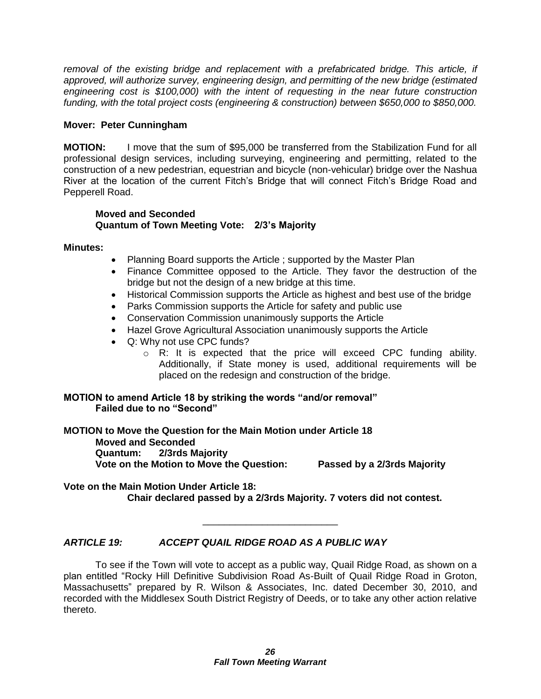removal of the existing bridge and replacement with a prefabricated bridge. This article, if *approved, will authorize survey, engineering design, and permitting of the new bridge (estimated engineering cost is \$100,000) with the intent of requesting in the near future construction funding, with the total project costs (engineering & construction) between \$650,000 to \$850,000.*

# **Mover: Peter Cunningham**

**MOTION:** I move that the sum of \$95,000 be transferred from the Stabilization Fund for all professional design services, including surveying, engineering and permitting, related to the construction of a new pedestrian, equestrian and bicycle (non-vehicular) bridge over the Nashua River at the location of the current Fitch's Bridge that will connect Fitch's Bridge Road and Pepperell Road.

# **Moved and Seconded Quantum of Town Meeting Vote: 2/3's Majority**

# **Minutes:**

- Planning Board supports the Article; supported by the Master Plan
- Finance Committee opposed to the Article. They favor the destruction of the bridge but not the design of a new bridge at this time.
- Historical Commission supports the Article as highest and best use of the bridge
- Parks Commission supports the Article for safety and public use
- Conservation Commission unanimously supports the Article
- Hazel Grove Agricultural Association unanimously supports the Article
- Q: Why not use CPC funds?
	- $\circ$  R: It is expected that the price will exceed CPC funding ability. Additionally, if State money is used, additional requirements will be placed on the redesign and construction of the bridge.

**MOTION to amend Article 18 by striking the words "and/or removal" Failed due to no "Second"**

**MOTION to Move the Question for the Main Motion under Article 18 Moved and Seconded Quantum: 2/3rds Majority Vote on the Motion to Move the Question: Passed by a 2/3rds Majority**

**Vote on the Main Motion Under Article 18: Chair declared passed by a 2/3rds Majority. 7 voters did not contest.**

# *ARTICLE 19: ACCEPT QUAIL RIDGE ROAD AS A PUBLIC WAY*

To see if the Town will vote to accept as a public way, Quail Ridge Road, as shown on a plan entitled "Rocky Hill Definitive Subdivision Road As-Built of Quail Ridge Road in Groton, Massachusetts" prepared by R. Wilson & Associates, Inc. dated December 30, 2010, and recorded with the Middlesex South District Registry of Deeds, or to take any other action relative thereto.

\_\_\_\_\_\_\_\_\_\_\_\_\_\_\_\_\_\_\_\_\_\_\_\_\_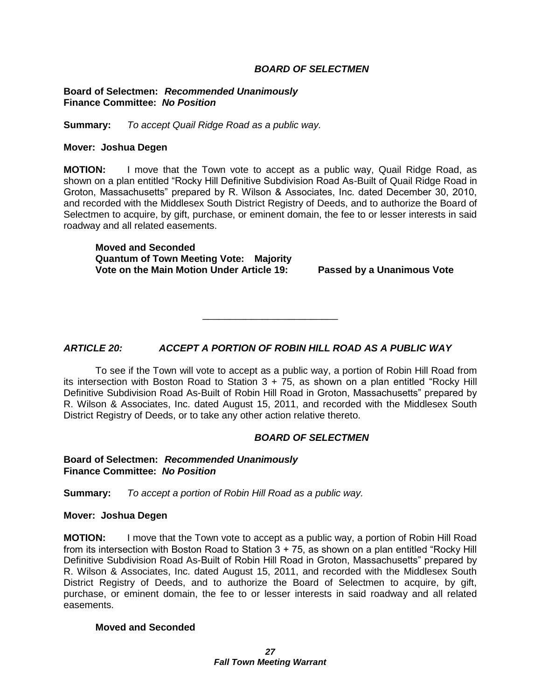# *BOARD OF SELECTMEN*

**Board of Selectmen:** *Recommended Unanimously* **Finance Committee:** *No Position*

**Summary:** *To accept Quail Ridge Road as a public way.*

# **Mover: Joshua Degen**

**MOTION:** I move that the Town vote to accept as a public way, Quail Ridge Road, as shown on a plan entitled "Rocky Hill Definitive Subdivision Road As-Built of Quail Ridge Road in Groton, Massachusetts" prepared by R. Wilson & Associates, Inc. dated December 30, 2010, and recorded with the Middlesex South District Registry of Deeds, and to authorize the Board of Selectmen to acquire, by gift, purchase, or eminent domain, the fee to or lesser interests in said roadway and all related easements.

**Moved and Seconded Quantum of Town Meeting Vote: Majority Vote on the Main Motion Under Article 19: Passed by a Unanimous Vote**

\_\_\_\_\_\_\_\_\_\_\_\_\_\_\_\_\_\_\_\_\_\_\_\_\_

# *ARTICLE 20: ACCEPT A PORTION OF ROBIN HILL ROAD AS A PUBLIC WAY*

To see if the Town will vote to accept as a public way, a portion of Robin Hill Road from its intersection with Boston Road to Station  $3 + 75$ , as shown on a plan entitled "Rocky Hill Definitive Subdivision Road As-Built of Robin Hill Road in Groton, Massachusetts" prepared by R. Wilson & Associates, Inc. dated August 15, 2011, and recorded with the Middlesex South District Registry of Deeds, or to take any other action relative thereto.

# *BOARD OF SELECTMEN*

**Board of Selectmen:** *Recommended Unanimously* **Finance Committee:** *No Position*

**Summary:** *To accept a portion of Robin Hill Road as a public way.*

# **Mover: Joshua Degen**

**MOTION:** I move that the Town vote to accept as a public way, a portion of Robin Hill Road from its intersection with Boston Road to Station 3 + 75, as shown on a plan entitled "Rocky Hill Definitive Subdivision Road As-Built of Robin Hill Road in Groton, Massachusetts" prepared by R. Wilson & Associates, Inc. dated August 15, 2011, and recorded with the Middlesex South District Registry of Deeds, and to authorize the Board of Selectmen to acquire, by gift, purchase, or eminent domain, the fee to or lesser interests in said roadway and all related easements.

#### **Moved and Seconded**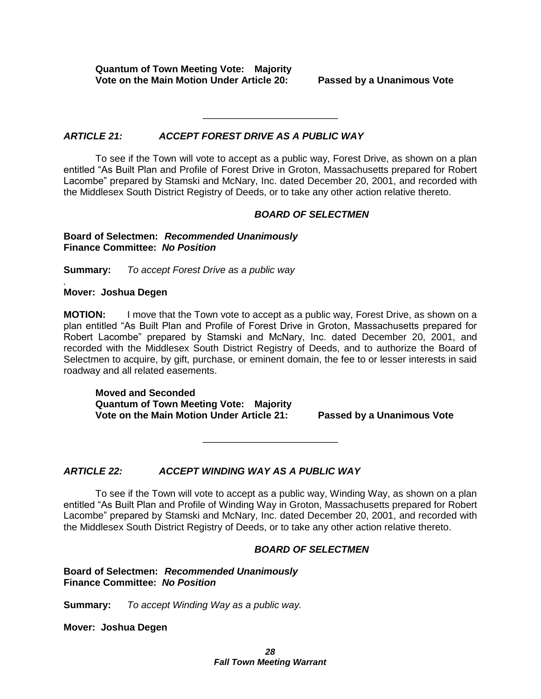**Quantum of Town Meeting Vote: Majority Vote on the Main Motion Under Article 20: Passed by a Unanimous Vote**

# *ARTICLE 21: ACCEPT FOREST DRIVE AS A PUBLIC WAY*

To see if the Town will vote to accept as a public way, Forest Drive, as shown on a plan entitled "As Built Plan and Profile of Forest Drive in Groton, Massachusetts prepared for Robert Lacombe" prepared by Stamski and McNary, Inc. dated December 20, 2001, and recorded with the Middlesex South District Registry of Deeds, or to take any other action relative thereto.

\_\_\_\_\_\_\_\_\_\_\_\_\_\_\_\_\_\_\_\_\_\_\_\_\_

# *BOARD OF SELECTMEN*

# **Board of Selectmen:** *Recommended Unanimously* **Finance Committee:** *No Position*

**Summary:** *To accept Forest Drive as a public way*

# **Mover: Joshua Degen**

*.*

**MOTION:** I move that the Town vote to accept as a public way, Forest Drive, as shown on a plan entitled "As Built Plan and Profile of Forest Drive in Groton, Massachusetts prepared for Robert Lacombe" prepared by Stamski and McNary, Inc. dated December 20, 2001, and recorded with the Middlesex South District Registry of Deeds, and to authorize the Board of Selectmen to acquire, by gift, purchase, or eminent domain, the fee to or lesser interests in said roadway and all related easements.

**Moved and Seconded Quantum of Town Meeting Vote: Majority Vote on the Main Motion Under Article 21: Passed by a Unanimous Vote**

# *ARTICLE 22: ACCEPT WINDING WAY AS A PUBLIC WAY*

To see if the Town will vote to accept as a public way, Winding Way, as shown on a plan entitled "As Built Plan and Profile of Winding Way in Groton, Massachusetts prepared for Robert Lacombe" prepared by Stamski and McNary, Inc. dated December 20, 2001, and recorded with the Middlesex South District Registry of Deeds, or to take any other action relative thereto.

\_\_\_\_\_\_\_\_\_\_\_\_\_\_\_\_\_\_\_\_\_\_\_\_\_

# *BOARD OF SELECTMEN*

**Board of Selectmen:** *Recommended Unanimously* **Finance Committee:** *No Position*

**Summary:** *To accept Winding Way as a public way.*

**Mover: Joshua Degen**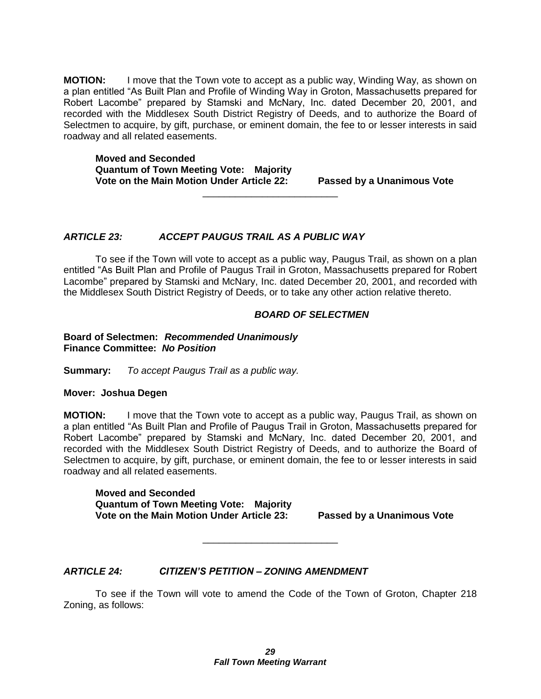**MOTION:** I move that the Town vote to accept as a public way, Winding Way, as shown on a plan entitled "As Built Plan and Profile of Winding Way in Groton, Massachusetts prepared for Robert Lacombe" prepared by Stamski and McNary, Inc. dated December 20, 2001, and recorded with the Middlesex South District Registry of Deeds, and to authorize the Board of Selectmen to acquire, by gift, purchase, or eminent domain, the fee to or lesser interests in said roadway and all related easements.

**Moved and Seconded Quantum of Town Meeting Vote: Majority Vote on the Main Motion Under Article 22: Passed by a Unanimous Vote**

# *ARTICLE 23: ACCEPT PAUGUS TRAIL AS A PUBLIC WAY*

To see if the Town will vote to accept as a public way, Paugus Trail, as shown on a plan entitled "As Built Plan and Profile of Paugus Trail in Groton, Massachusetts prepared for Robert Lacombe" prepared by Stamski and McNary, Inc. dated December 20, 2001, and recorded with the Middlesex South District Registry of Deeds, or to take any other action relative thereto.

\_\_\_\_\_\_\_\_\_\_\_\_\_\_\_\_\_\_\_\_\_\_\_\_\_

# *BOARD OF SELECTMEN*

**Board of Selectmen:** *Recommended Unanimously* **Finance Committee:** *No Position*

**Summary:** *To accept Paugus Trail as a public way.*

# **Mover: Joshua Degen**

**MOTION:** I move that the Town vote to accept as a public way, Paugus Trail, as shown on a plan entitled "As Built Plan and Profile of Paugus Trail in Groton, Massachusetts prepared for Robert Lacombe" prepared by Stamski and McNary, Inc. dated December 20, 2001, and recorded with the Middlesex South District Registry of Deeds, and to authorize the Board of Selectmen to acquire, by gift, purchase, or eminent domain, the fee to or lesser interests in said roadway and all related easements.

**Moved and Seconded Quantum of Town Meeting Vote: Majority Vote on the Main Motion Under Article 23: Passed by a Unanimous Vote**

# *ARTICLE 24: CITIZEN'S PETITION – ZONING AMENDMENT*

To see if the Town will vote to amend the Code of the Town of Groton, Chapter 218 Zoning, as follows:

\_\_\_\_\_\_\_\_\_\_\_\_\_\_\_\_\_\_\_\_\_\_\_\_\_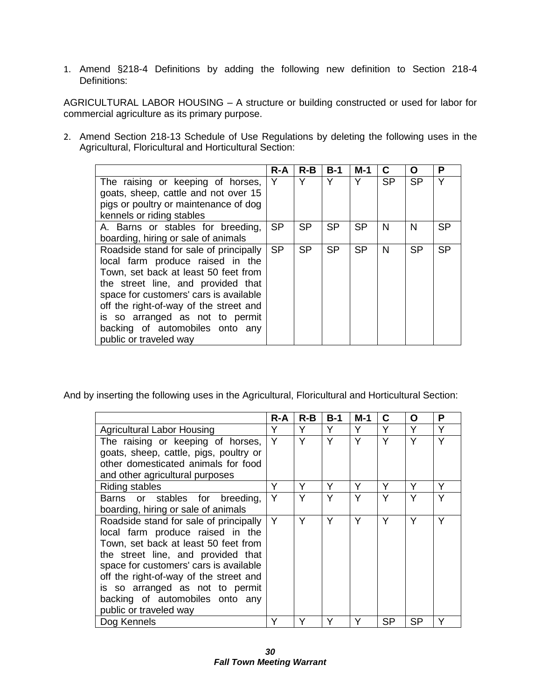1. Amend §218-4 Definitions by adding the following new definition to Section 218-4 Definitions:

AGRICULTURAL LABOR HOUSING – A structure or building constructed or used for labor for commercial agriculture as its primary purpose.

2. Amend Section 218-13 Schedule of Use Regulations by deleting the following uses in the Agricultural, Floricultural and Horticultural Section:

|                                        | $R - A$   | $R-B$     | $B-1$     | $M-1$     | C         | n         | P         |
|----------------------------------------|-----------|-----------|-----------|-----------|-----------|-----------|-----------|
| The raising or keeping of horses,      | Υ         | Y         | Υ         | Y         | <b>SP</b> | <b>SP</b> | Υ         |
| goats, sheep, cattle and not over 15   |           |           |           |           |           |           |           |
| pigs or poultry or maintenance of dog  |           |           |           |           |           |           |           |
| kennels or riding stables              |           |           |           |           |           |           |           |
| A. Barns or stables for breeding,      | <b>SP</b> | <b>SP</b> | <b>SP</b> | <b>SP</b> | N         | N         | <b>SP</b> |
| boarding, hiring or sale of animals    |           |           |           |           |           |           |           |
| Roadside stand for sale of principally | <b>SP</b> | <b>SP</b> | <b>SP</b> | <b>SP</b> | N         | <b>SP</b> | <b>SP</b> |
| local farm produce raised in the       |           |           |           |           |           |           |           |
| Town, set back at least 50 feet from   |           |           |           |           |           |           |           |
| the street line, and provided that     |           |           |           |           |           |           |           |
| space for customers' cars is available |           |           |           |           |           |           |           |
| off the right-of-way of the street and |           |           |           |           |           |           |           |
| is so arranged as not to permit        |           |           |           |           |           |           |           |
| backing of automobiles onto any        |           |           |           |           |           |           |           |
| public or traveled way                 |           |           |           |           |           |           |           |

And by inserting the following uses in the Agricultural, Floricultural and Horticultural Section:

|                                        | $R - A$ | R-B | $B-1$ | M-1 | C         | O         | P |
|----------------------------------------|---------|-----|-------|-----|-----------|-----------|---|
| <b>Agricultural Labor Housing</b>      | Y       | Y   | Υ     | Υ   | Υ         | Y         | Υ |
| The raising or keeping of horses,      | Y       | Υ   | Υ     | Y   | Υ         | Υ         | Υ |
| goats, sheep, cattle, pigs, poultry or |         |     |       |     |           |           |   |
| other domesticated animals for food    |         |     |       |     |           |           |   |
| and other agricultural purposes        |         |     |       |     |           |           |   |
| <b>Riding stables</b>                  | Y       | Y   | Y     | Υ   | Υ         | Υ         | Y |
| Barns or stables for breeding,         | Y       | Υ   | Y     | Y   | Υ         | v         |   |
| boarding, hiring or sale of animals    |         |     |       |     |           |           |   |
| Roadside stand for sale of principally | Y       | Υ   | Y     | Y   | Y         | Y         |   |
| local farm produce raised in the       |         |     |       |     |           |           |   |
| Town, set back at least 50 feet from   |         |     |       |     |           |           |   |
| the street line, and provided that     |         |     |       |     |           |           |   |
| space for customers' cars is available |         |     |       |     |           |           |   |
| off the right-of-way of the street and |         |     |       |     |           |           |   |
| is so arranged as not to permit        |         |     |       |     |           |           |   |
| backing of automobiles onto any        |         |     |       |     |           |           |   |
| public or traveled way                 |         |     |       |     |           |           |   |
| Dog Kennels                            | Υ       | Y   | Y     | Y   | <b>SP</b> | <b>SP</b> |   |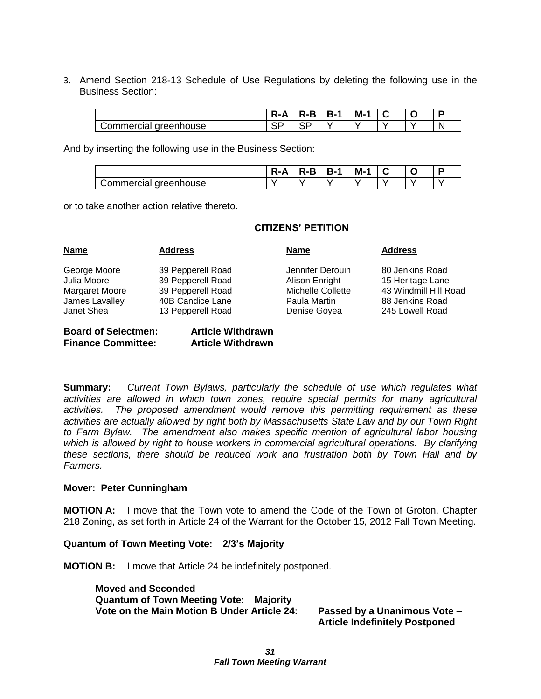3. Amend Section 218-13 Schedule of Use Regulations by deleting the following use in the Business Section:

|                               | R-A       | ан | <b>B-1</b> | M- |  |  |
|-------------------------------|-----------|----|------------|----|--|--|
| greenhouse<br>nercial<br>.omr | n m<br>اب | וט |            |    |  |  |

And by inserting the following use in the Business Section:

|                            | K-A | R-B | <b>B-1</b> | M-<br>-4 |  |  |
|----------------------------|-----|-----|------------|----------|--|--|
| ' greenhouse<br>Commercial |     |     |            |          |  |  |

or to take another action relative thereto.

# **CITIZENS' PETITION**

| <b>Name</b>    | <b>Address</b>    | <b>Name</b>              | <b>Address</b>        |
|----------------|-------------------|--------------------------|-----------------------|
| George Moore   | 39 Pepperell Road | Jennifer Derouin         | 80 Jenkins Road       |
| Julia Moore    | 39 Pepperell Road | Alison Enright           | 15 Heritage Lane      |
| Margaret Moore | 39 Pepperell Road | <b>Michelle Collette</b> | 43 Windmill Hill Road |
| James Lavalley | 40B Candice Lane  | Paula Martin             | 88 Jenkins Road       |
| Janet Shea     | 13 Pepperell Road | Denise Goyea             | 245 Lowell Road       |
|                |                   |                          |                       |

#### **Board of Selectmen: Article Withdrawn Finance Committee: Article Withdrawn**

**Summary:** *Current Town Bylaws, particularly the schedule of use which regulates what activities are allowed in which town zones, require special permits for many agricultural activities. The proposed amendment would remove this permitting requirement as these activities are actually allowed by right both by Massachusetts State Law and by our Town Right to Farm Bylaw. The amendment also makes specific mention of agricultural labor housing which is allowed by right to house workers in commercial agricultural operations. By clarifying these sections, there should be reduced work and frustration both by Town Hall and by Farmers.*

# **Mover: Peter Cunningham**

**MOTION A:** I move that the Town vote to amend the Code of the Town of Groton, Chapter 218 Zoning, as set forth in Article 24 of the Warrant for the October 15, 2012 Fall Town Meeting.

**Quantum of Town Meeting Vote: 2/3's Majority**

**MOTION B:** I move that Article 24 be indefinitely postponed.

**Moved and Seconded Quantum of Town Meeting Vote: Majority Vote on the Main Motion B Under Article 24: Passed by a Unanimous Vote –**

**Article Indefinitely Postponed**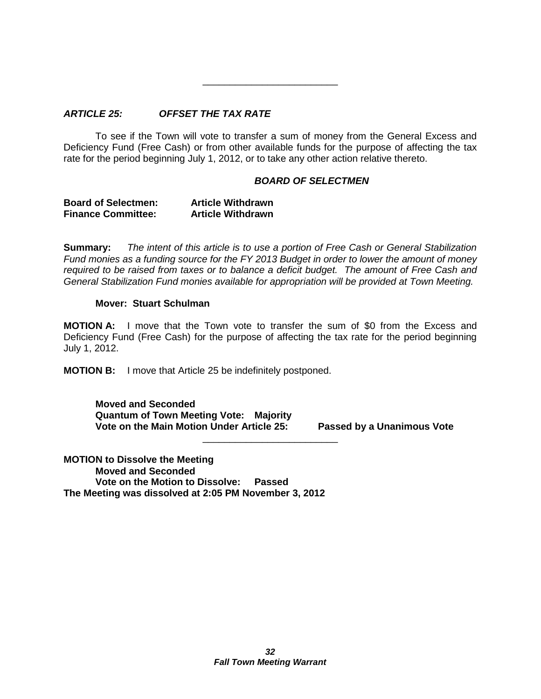# *ARTICLE 25: OFFSET THE TAX RATE*

To see if the Town will vote to transfer a sum of money from the General Excess and Deficiency Fund (Free Cash) or from other available funds for the purpose of affecting the tax rate for the period beginning July 1, 2012, or to take any other action relative thereto.

\_\_\_\_\_\_\_\_\_\_\_\_\_\_\_\_\_\_\_\_\_\_\_\_\_

# *BOARD OF SELECTMEN*

| <b>Board of Selectmen:</b> | <b>Article Withdrawn</b> |
|----------------------------|--------------------------|
| <b>Finance Committee:</b>  | <b>Article Withdrawn</b> |

**Summary:** *The intent of this article is to use a portion of Free Cash or General Stabilization Fund monies as a funding source for the FY 2013 Budget in order to lower the amount of money required to be raised from taxes or to balance a deficit budget. The amount of Free Cash and General Stabilization Fund monies available for appropriation will be provided at Town Meeting.*

# **Mover: Stuart Schulman**

**MOTION A:** I move that the Town vote to transfer the sum of \$0 from the Excess and Deficiency Fund (Free Cash) for the purpose of affecting the tax rate for the period beginning July 1, 2012.

\_\_\_\_\_\_\_\_\_\_\_\_\_\_\_\_\_\_\_\_\_\_\_\_\_

**MOTION B:** I move that Article 25 be indefinitely postponed.

**Moved and Seconded Quantum of Town Meeting Vote: Majority Vote on the Main Motion Under Article 25: Passed by a Unanimous Vote**

**MOTION to Dissolve the Meeting Moved and Seconded Vote on the Motion to Dissolve: Passed The Meeting was dissolved at 2:05 PM November 3, 2012**